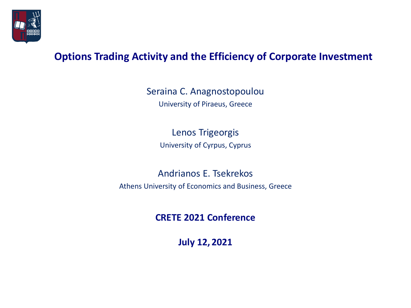

### **Options Trading Activity and the Efficiency of Corporate Investment**

Seraina C. Anagnostopoulou University of Piraeus, Greece

> Lenos Trigeorgis University of Cyrpus, Cyprus

Andrianos E. Tsekrekos Athens University of Economics and Business, Greece

**CRETE 2021 Conference**

**July 12, 2021**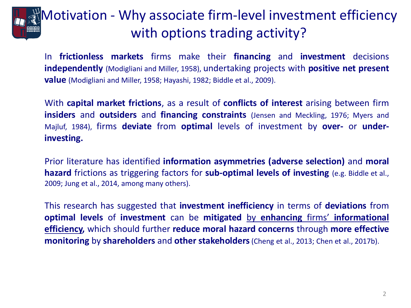### Motivation - Why associate firm-level investment efficiency with options trading activity?

In **frictionless markets** firms make their **financing** and **investment** decisions **independently** (Modigliani and Miller, 1958), undertaking projects with **positive net present value** (Modigliani and Miller, 1958; Hayashi, 1982; Biddle et al., 2009).

With **capital market frictions**, as a result of **conflicts of interest** arising between firm **insiders** and **outsiders** and **financing constraints** (Jensen and Meckling, 1976; Myers and Majluf, 1984), firms **deviate** from **optimal** levels of investment by **over-** or **underinvesting.**

Prior literature has identified **information asymmetries (adverse selection)** and **moral hazard** frictions as triggering factors for **sub-optimal levels of investing** (e.g. Biddle et al., 2009; Jung et al., 2014, among many others).

This research has suggested that **investment inefficiency** in terms of **deviations** from **optimal levels** of **investment** can be **mitigated** by **enhancing** firms' **informational efficiency,** which should further **reduce moral hazard concerns** through **more effective monitoring** by **shareholders** and **other stakeholders**(Cheng et al., 2013; Chen et al., 2017b).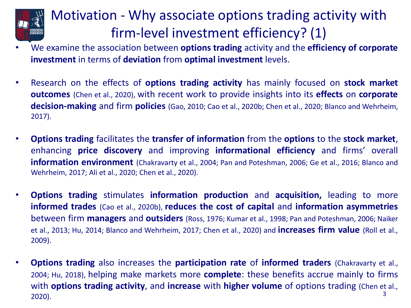### Motivation - Why associate options trading activity with firm-level investment efficiency? (1)

- We examine the association between **options trading** activity and the **efficiency of corporate investment** in terms of **deviation** from **optimal investment** levels.
- Research on the effects of **options trading activity** has mainly focused on **stock market outcomes** (Chen et al., 2020), with recent work to provide insights into its **effects** on **corporate decision-making** and firm **policies** (Gao, 2010; Cao et al., 2020b; Chen et al., 2020; Blanco and Wehrheim, 2017).
- **Options trading** facilitates the **transfer of information** from the **options** to the **stock market**, enhancing **price discovery** and improving **informational efficiency** and firms' overall **information environment** (Chakravarty et al., 2004; Pan and Poteshman, 2006; Ge et al., 2016; Blanco and Wehrheim, 2017; Ali et al., 2020; Chen et al., 2020).
- **Options trading** stimulates **information production** and **acquisition,** leading to more **informed trades** (Cao et al., 2020b), **reduces the cost of capital** and **information asymmetries** between firm **managers** and **outsiders** (Ross, 1976; Kumar et al., 1998; Pan and Poteshman, 2006; Naiker et al., 2013; Hu, 2014; Blanco and Wehrheim, 2017; Chen et al., 2020) and **increases firm value** (Roll et al., 2009).
- **Options trading** also increases the **participation rate** of **informed traders** (Chakravarty et al., 2004; Hu, 2018), helping make markets more **complete**: these benefits accrue mainly to firms with **options trading activity**, and **increase** with **higher volume** of options trading (Chen et al., 2020). 3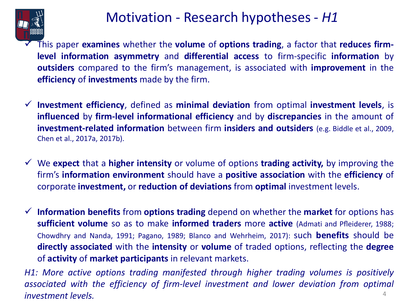

### Motivation - Research hypotheses - *H1*

This paper **examines** whether the **volume** of **options trading**, a factor that **reduces firmlevel information asymmetry** and **differential access** to firm-specific **information** by **outsiders** compared to the firm's management, is associated with **improvement** in the **efficiency** of **investments** made by the firm.

- ✓ **Investment efficiency**, defined as **minimal deviation** from optimal **investment levels**, is **influenced** by **firm-level informational efficiency** and by **discrepancies** in the amount of **investment-related information** between firm **insiders and outsiders** (e.g. Biddle et al., 2009, Chen et al., 2017a, 2017b).
- ✓ We **expect** that a **higher intensity** or volume of options **trading activity,** by improving the firm's **information environment** should have a **positive association** with the **efficiency** of corporate **investment,** or **reduction of deviations** from **optimal** investment levels.
- ✓ **Information benefits** from **options trading** depend on whether the **market** for options has **sufficient volume** so as to make **informed traders** more **active** (Admati and Pfleiderer, 1988; Chowdhry and Nanda, 1991; Pagano, 1989; Blanco and Wehrheim, 2017): such **benefits** should be **directly associated** with the **intensity** or **volume** of traded options, reflecting the **degree** of **activity** of **market participants** in relevant markets.

*H1: More active options trading manifested through higher trading volumes is positively associated with the efficiency of firm-level investment and lower deviation from optimal investment levels.* 4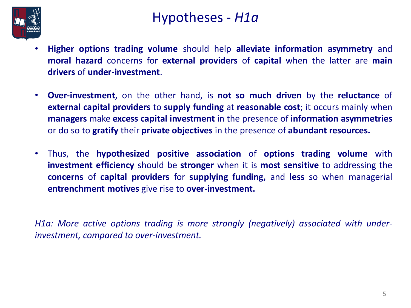

### Hypotheses - *H1a*

- **Higher options trading volume** should help **alleviate information asymmetry** and **moral hazard** concerns for **external providers** of **capital** when the latter are **main drivers** of **under-investment**.
- **Over-investment**, on the other hand, is **not so much driven** by the **reluctance** of **external capital providers** to **supply funding** at **reasonable cost**; it occurs mainly when **managers** make **excess capital investment** in the presence of **information asymmetries** or do so to **gratify** their **private objectives** in the presence of **abundant resources.**
- Thus, the **hypothesized positive association** of **options trading volume** with **investment efficiency** should be **stronger** when it is **most sensitive** to addressing the **concerns** of **capital providers** for **supplying funding,** and **less** so when managerial **entrenchment motives** give rise to **over-investment.**

*H1a: More active options trading is more strongly (negatively) associated with underinvestment, compared to over-investment.*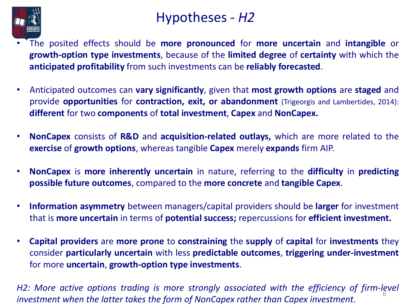

### Hypotheses - *H2*

- The posited effects should be **more pronounced** for **more uncertain** and **intangible** or **growth-option type investments**, because of the **limited degree** of **certainty** with which the **anticipated profitability** from such investments can be **reliably forecasted**.
- Anticipated outcomes can **vary significantly**, given that **most growth options** are **staged** and provide **opportunities** for **contraction, exit, or abandonment** (Trigeorgis and Lambertides, 2014): **different** for two **components** of **total investment**, **Capex** and **NonCapex.**
- **NonCapex** consists of **R&D** and **acquisition-related outlays,** which are more related to the **exercise** of **growth options**, whereas tangible **Capex** merely **expands** firm AIP.
- **NonCapex** is **more inherently uncertain** in nature, referring to the **difficulty** in **predicting possible future outcomes**, compared to the **more concrete** and **tangible Capex**.
- **Information asymmetry** between managers/capital providers should be **larger** for investment that is **more uncertain** in terms of **potential success;** repercussions for **efficient investment.**
- **Capital providers** are **more prone** to **constraining** the **supply** of **capital** for **investments** they consider **particularly uncertain** with less **predictable outcomes**, **triggering under-investment** for more **uncertain**, **growth-option type investments**.

6 *H2: More active options trading is more strongly associated with the efficiency of firm-level investment when the latter takes the form of NonCapex rather than Capex investment.*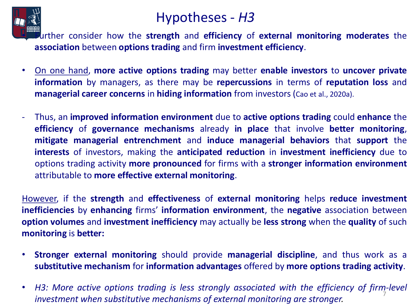

### Hypotheses - *H3*

• Further consider how the **strength** and **efficiency** of **external monitoring moderates** the **association** between **options trading** and firm **investment efficiency**.

- On one hand, **more active options trading** may better **enable investors** to **uncover private information** by managers, as there may be **repercussions** in terms of **reputation loss** and **managerial career concerns** in **hiding information** from investors (Cao et al., 2020a).
- Thus, an **improved information environment** due to **active options trading** could **enhance** the **efficiency** of **governance mechanisms** already **in place** that involve **better monitoring**, **mitigate managerial entrenchment** and **induce managerial behaviors** that **support** the **interests** of investors, making the **anticipated reduction** in **investment inefficiency** due to options trading activity **more pronounced** for firms with a **stronger information environment** attributable to **more effective external monitoring**.

However, if the **strength** and **effectiveness** of **external monitoring** helps **reduce investment inefficiencies** by **enhancing** firms' **information environment**, the **negative** association between **option volumes** and **investment inefficiency** may actually be **less strong** when the **quality** of such **monitoring** is **better:**

- **Stronger external monitoring** should provide **managerial discipline**, and thus work as a **substitutive mechanism** for **information advantages** offered by **more options trading activity**.
- 7 • *H3: More active options trading is less strongly associated with the efficiency of firm-level investment when substitutive mechanisms of external monitoring are stronger.*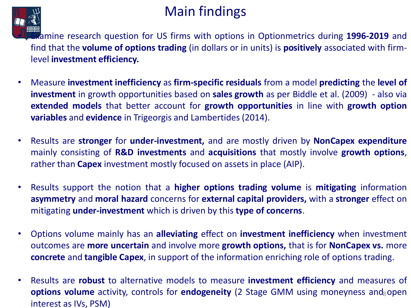### Main findings



**Examine research question for US firms with options in Optionmetrics during 1996-2019** and find that the **volume of options trading** (in dollars or in units) is **positively** associated with firmlevel **investment efficiency.**

- Measure **investment inefficiency** as **firm-specific residuals** from a model **predicting** the **level of investment** in growth opportunities based on **sales growth** as per Biddle et al. (2009) - also via **extended models** that better account for **growth opportunities** in line with **growth option variables** and **evidence** in Trigeorgis and Lambertides (2014).
- Results are **stronger** for **under-investment,** and are mostly driven by **NonCapex expenditure** mainly consisting of **R&D investments** and **acquisitions** that mostly involve **growth options**, rather than **Capex** investment mostly focused on assets in place (AIP).
- Results support the notion that a **higher options trading volume** is **mitigating** information **asymmetry** and **moral hazard** concerns for **external capital providers,** with a **stronger** effect on mitigating **under-investment** which is driven by this **type of concerns**.
- Options volume mainly has an **alleviating** effect on **investment inefficiency** when investment outcomes are **more uncertain** and involve more **growth options,** that is for **NonCapex vs.** more **concrete** and **tangible Capex**, in support of the information enriching role of options trading.
- **options volume** activity, controls for *endogeneity* (2 Stage GMM using moneyness and open • Results are **robust** to alternative models to measure **investment efficiency** and measures of interest as IVs, PSM)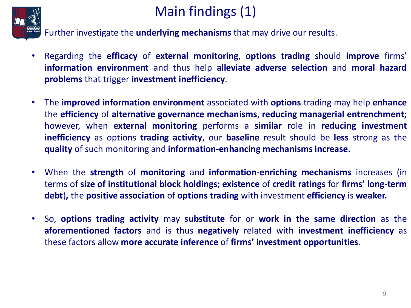

# Main findings (1)

• Further investigate the **underlying mechanisms** that may drive our results.

- Regarding the **efficacy** of **external monitoring**, **options trading** should **improve** firms' **information environment** and thus help **alleviate adverse selection** and **moral hazard problems** that trigger **investment inefficiency**.
- The **improved information environment** associated with **options** trading may help **enhance** the **efficiency** of **alternative governance mechanisms**, **reducing managerial entrenchment;** however, when **external monitoring** performs a **similar** role in **reducing investment inefficiency** as options **trading activity**, our **baseline** result should be **less** strong as the **quality** of such monitoring and **information-enhancing mechanisms increase.**
- When the **strength** of **monitoring** and **information-enriching mechanisms** increases (in terms of **size of institutional block holdings; existence** of **credit ratings** for **firms' long-term debt**)**,** the **positive association** of **options trading** with investment **efficiency** is **weaker.**
- So, **options trading activity** may **substitute** for or **work in the same direction** as the **aforementioned factors** and is thus **negatively** related with **investment inefficiency** as these factors allow **more accurate inference** of **firms' investment opportunities**.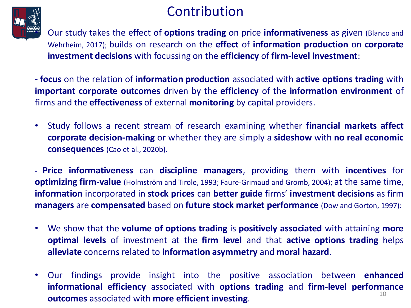### Contribution



• Our study takes the effect of **options trading** on price **informativeness** as given (Blanco and Wehrheim, 2017); builds on research on the **effect** of **information production** on **corporate investment decisions** with focussing on the **efficiency** of **firm-level investment**:

**- focus** on the relation of **information production** associated with **active options trading** with **important corporate outcomes** driven by the **efficiency** of the **information environment** of firms and the **effectiveness** of external **monitoring** by capital providers.

• Study follows a recent stream of research examining whether **financial markets affect corporate decision-making** or whether they are simply a **sideshow** with **no real economic consequences** (Cao et al., 2020b).

- **Price informativeness** can **discipline managers**, providing them with **incentives** for **optimizing firm-value** (Holmström and Tirole, 1993; Faure-Grimaud and Gromb, 2004); at the same time, **information** incorporated in **stock prices** can **better guide** firms' **investment decisions** as firm **managers** are **compensated** based on **future stock market performance** (Dow and Gorton, 1997):

- We show that the **volume of options trading** is **positively associated** with attaining **more optimal levels** of investment at the **firm level** and that **active options trading** helps **alleviate** concerns related to **information asymmetry** and **moral hazard**.
- 10 • Our findings provide insight into the positive association between **enhanced informational efficiency** associated with **options trading** and **firm-level performance outcomes** associated with **more efficient investing**.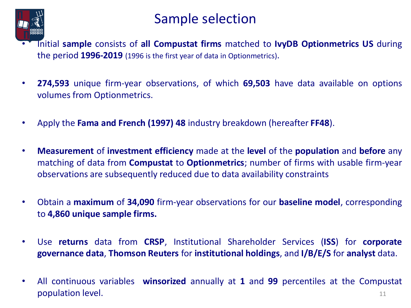

### Sample selection

- Initial **sample** consists of **all Compustat firms** matched to **IvyDB Optionmetrics US** during the period **1996-2019** (1996 is the first year of data in Optionmetrics).
- **274,593** unique firm-year observations, of which **69,503** have data available on options volumes from Optionmetrics.
- Apply the **Fama and French (1997) 48** industry breakdown (hereafter **FF48**).
- **Measurement** of **investment efficiency** made at the **level** of the **population** and **before** any matching of data from **Compustat** to **Optionmetrics**; number of firms with usable firm-year observations are subsequently reduced due to data availability constraints
- Obtain a **maximum** of **34,090** firm-year observations for our **baseline model**, corresponding to **4,860 unique sample firms.**
- Use **returns** data from **CRSP**, Institutional Shareholder Services (**ISS**) for **corporate governance data**, **Thomson Reuters** for **institutional holdings**, and **I/B/E/S** for **analyst** data.
- All continuous variables **winsorized** annually at **1** and **99** percentiles at the Compustat **population level.** 11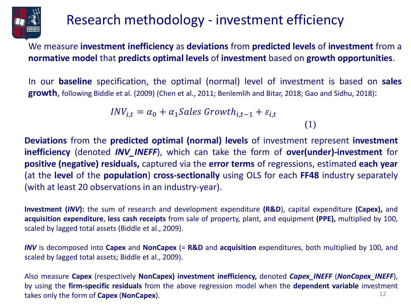

### Research methodology - investment efficiency

We measure **investment inefficiency** as **deviations** from **predicted levels** of **investment** from a **normative model** that **predicts optimal levels** of **investment** based on **growth opportunities**.

In our **baseline** specification, the optimal (normal) level of investment is based on **sales growth**, following Biddle et al. (2009) (Chen et al., 2011; Benlemlih and Bitar, 2018; Gao and Sidhu, 2018):

(1)

$$
INV_{i,t} = \alpha_0 + \alpha_1 Sales\ Growth_{i,t-1} + \varepsilon_{i,t}
$$

**Deviations** from the **predicted optimal (normal) levels** of investment represent **investment inefficiency** (denoted *INV\_INEFF*), which can take the form of **over(under)-investment** for **positive (negative) residuals,** captured via the **error terms** of regressions, estimated **each year** (at the **level** of the **population**) **cross-sectionally** using OLS for each **FF48** industry separately (with at least 20 observations in an industry-year).

**Investment (***INV***):** the sum of research and development expenditure **(R&D**), capital expenditure **(Capex),** and **acquisition expenditure**, **less cash receipts** from sale of property, plant, and equipment **(PPE),** multiplied by 100, scaled by lagged total assets (Biddle et al., 2009).

*INV* is decomposed into **Capex** and **NonCapex** (= **R&D** and **acquisition** expenditures, both multiplied by 100, and scaled by lagged total assets; Biddle et al., 2009).

12 Also measure **Capex** (respectively **NonCapex) investment inefficiency,** denoted *Capex\_INEFF* (*NonCapex\_INEFF*), by using the **firm-specific residuals** from the above regression model when the **dependent variable** investment takes only the form of **Capex** (**NonCapex**).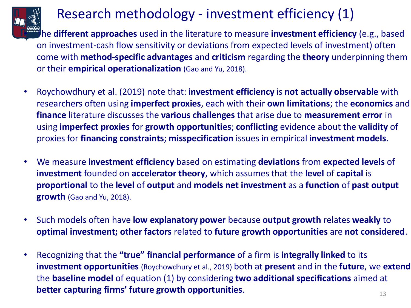

### Research methodology - investment efficiency (1)

• The **different approaches** used in the literature to measure **investment efficiency** (e.g., based on investment-cash flow sensitivity or deviations from expected levels of investment) often come with **method-specific advantages** and **criticism** regarding the **theory** underpinning them or their **empirical operationalization** (Gao and Yu, 2018).

- Roychowdhury et al. (2019) note that: **investment efficiency** is **not actually observable** with researchers often using **imperfect proxies**, each with their **own limitations**; the **economics** and **finance** literature discusses the **various challenges** that arise due to **measurement error** in using **imperfect proxies** for **growth opportunities**; **conflicting** evidence about the **validity** of proxies for **financing constraints**; **misspecification** issues in empirical **investment models**.
- We measure **investment efficiency** based on estimating **deviations** from **expected levels** of **investment** founded on **accelerator theory**, which assumes that the **level** of **capital** is **proportional** to the **level** of **output** and **models net investment** as a **function** of **past output growth** (Gao and Yu, 2018).
- Such models often have **low explanatory power** because **output growth** relates **weakly** to **optimal investment; other factors** related to **future growth opportunities** are **not considered**.
- 13 • Recognizing that the **"true" financial performance** of a firm is **integrally linked** to its **investment opportunities** (Roychowdhury et al., 2019) both at **present** and in the **future**, we **extend** the **baseline model** of equation (1) by considering **two additional specifications** aimed at **better capturing firms' future growth opportunities**.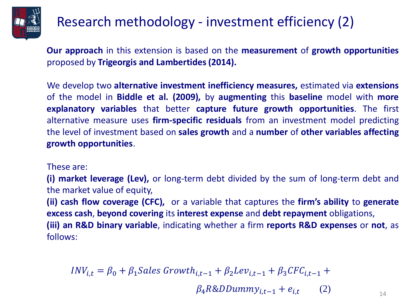

### Research methodology - investment efficiency (2)

**Our approach** in this extension is based on the **measurement** of **growth opportunities** proposed by **Trigeorgis and Lambertides (2014).**

We develop two **alternative investment inefficiency measures,** estimated via **extensions** of the model in **Biddle et al. (2009),** by **augmenting** this **baseline** model with **more explanatory variables** that better **capture future growth opportunities**. The first alternative measure uses **firm-specific residuals** from an investment model predicting the level of investment based on **sales growth** and a **number** of **other variables affecting growth opportunities**.

These are:

**(i) market leverage (Lev),** or long-term debt divided by the sum of long-term debt and the market value of equity,

**(ii) cash flow coverage (CFC),** or a variable that captures the **firm's ability** to **generate excess cash**, **beyond covering** its **interest expense** and **debt repayment** obligations, **(iii) an R&D binary variable**, indicating whether a firm **reports R&D expenses** or **not**, as follows:

$$
INV_{i,t} = \beta_0 + \beta_1 Sales\ Growth_{i,t-1} + \beta_2Lev_{i,t-1} + \beta_3CFC_{i,t-1} + \beta_4R\&DDummy_{i,t-1} + e_{i,t}
$$
 (2)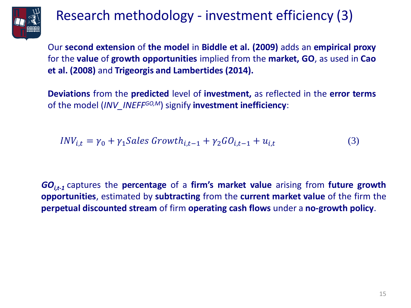

### Research methodology - investment efficiency (3)

Our **second extension** of **the model** in **Biddle et al. (2009)** adds an **empirical proxy** for the **value** of **growth opportunities** implied from the **market, GO**, as used in **Cao et al. (2008)** and **Trigeorgis and Lambertides (2014).**

**Deviations** from the **predicted** level of **investment,** as reflected in the **error terms** of the model (*INV\_INEFFGO,M*) signify **investment inefficiency**:

$$
INV_{i,t} = \gamma_0 + \gamma_1 Sales\ Growth_{i,t-1} + \gamma_2 GO_{i,t-1} + u_{i,t}
$$
\n
$$
\tag{3}
$$

*GOi,t-1* captures the **percentage** of a **firm's market value** arising from **future growth opportunities**, estimated by **subtracting** from the **current market value** of the firm the **perpetual discounted stream** of firm **operating cash flows** under a **no-growth policy**.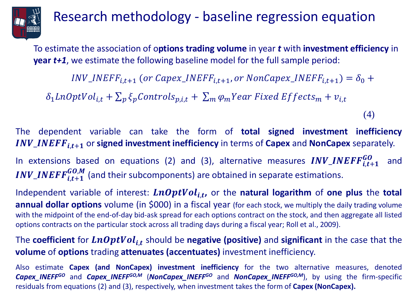

### Research methodology - baseline regression equation

To estimate the association of o**ptions trading volume** in year *t* with **investment efficiency** in **year** *t+1*, we estimate the following baseline model for the full sample period:

 $INV\_INEFF_{i,t+1}$  (or Capex\_INEFF<sub>i,t+1</sub>, or NonCapex\_INEFF<sub>i,t+1</sub>) =  $\delta_0$  +

 $\delta_1$ *LnOptVol*<sub>i,t</sub> +  $\sum_p \xi_p$ *Controls*<sub>p,i,t</sub> +  $\sum_m \varphi_m$ *Year Fixed Effects*<sub>*m*</sub> +  $v_{i,t}$ 

(4)

The dependent variable can take the form of **total signed investment inefficiency** *INV\_INEFF***<sub>it+1</sub>** or **signed investment inefficiency** in terms of **Capex** and **NonCapex** separately.

In extensions based on equations (2) and (3), alternative measures  $INV\_INEFF_{i,t+1}^{GO}$  and INV\_INEFF $_{i,t+1}^{GO,M}$  (and their subcomponents) are obtained in separate estimations.

Independent variable of interest:  $\boldsymbol{LnOptVol}_{i,t}$ , or the natural logarithm of one plus the total **annual dollar options** volume (in \$000) in a fiscal year (for each stock, we multiply the daily trading volume with the midpoint of the end-of-day bid-ask spread for each options contract on the stock, and then aggregate all listed options contracts on the particular stock across all trading days during a fiscal year; Roll et al., 2009).

The coefficient for  $\boldsymbol{LnOptVol}_{i,t}$  should be negative (positive) and significant in the case that the **volume** of **options** trading **attenuates (accentuates)** investment inefficiency.

Also estimate **Capex (and NonCapex) investment inefficiency** for the two alternative measures, denoted *Capex\_INEFFGO* and *Capex\_INEFFGO,M* (*NonCapex\_INEFFGO* and *NonCapex\_INEFFGO,M*), by using the firm-specific residuals from equations (2) and (3), respectively, when investment takes the form of **Capex (NonCapex).**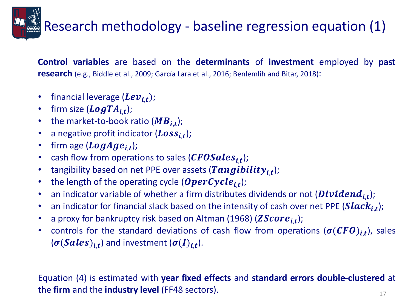# Research methodology - baseline regression equation (1)

**Control variables** are based on the **determinants** of **investment** employed by **past research** (e.g., Biddle et al., 2009; García Lara et al., 2016; Benlemlih and Bitar, 2018):

- financial leverage  $(Lev_{i,t})$ ;
- firm size  $(\textit{LogTA}_{i,t});$
- the market-to-book ratio  $(MB_{i,t})$ ;
- a negative profit indicator  $(Loss_{i,t})$ ;
- firm age  $(LogAge_{i,t})$ ;
- cash flow from operations to sales (CFOSales<sub>i,t</sub>);
- tangibility based on net PPE over assets (Tangibility<sub>i,t</sub>);
- the length of the operating cycle (OperCycle<sub>i,t</sub>);
- an indicator variable of whether a firm distributes dividends or not (*Dividend<sub>i,t</sub>*);
- an indicator for financial slack based on the intensity of cash over net PPE (Slac $k_{i,t}$ );
- a proxy for bankruptcy risk based on Altman (1968) ( $\textit{ZScore}_{i,t}$ );
- controls for the standard deviations of cash flow from operations  $(\sigma({\mathcal{CF}}{\bm{0}})_{i,t})$ , sales  $(\sigma(Sales)_{i,t})$  and investment  $(\sigma(I)_{i,t}).$

#### 17 Equation (4) is estimated with **year fixed effects** and **standard errors double-clustered** at the **firm** and the **industry level** (FF48 sectors).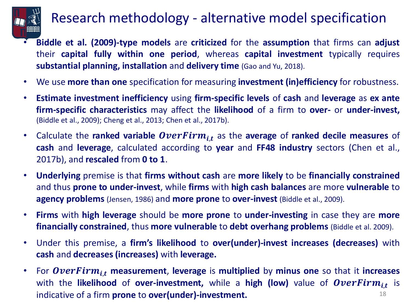

### Research methodology - alternative model specification

- **Biddle et al. (2009)-type models** are **criticized** for the **assumption** that firms can **adjust** their **capital fully within one period**, whereas **capital investment** typically requires **substantial planning, installation** and **delivery time** (Gao and Yu, 2018).
- We use **more than one** specification for measuring **investment (in)efficiency** for robustness.
- **Estimate investment inefficiency** using **firm-specific levels** of **cash** and **leverage** as **ex ante firm-specific characteristics** may affect the **likelihood** of a firm to **over-** or **under-invest,** (Biddle et al., 2009); Cheng et al., 2013; Chen et al., 2017b).
- Calculate the **ranked variable** *OverFirm<sub>i.t</sub>* as the **average** of **ranked decile measures** of **cash** and **leverage**, calculated according to **year** and **FF48 industry** sectors (Chen et al., 2017b), and **rescaled** from **0 to 1**.
- **Underlying** premise is that **firms without cash** are **more likely** to be **financially constrained** and thus **prone to under-invest**, while **firms** with **high cash balances** are more **vulnerable** to **agency problems** (Jensen, 1986) and **more prone** to **over-invest** (Biddle et al., 2009).
- **Firms** with **high leverage** should be **more prone** to **under-investing** in case they are **more financially constrained**, thus **more vulnerable** to **debt overhang problems** (Biddle et al. 2009).
- Under this premise, a **firm's likelihood** to **over(under)-invest increases (decreases)** with **cash** and **decreases (increases)** with **leverage.**
- 18 • For *OverFirm<sub>it</sub>* measurement, leverage is multiplied by minus one so that it increases with the likelihood of over-investment, while a high (low) value of  $\textit{OverFirm}_{i,t}$  is indicative of a firm **prone** to **over(under)-investment.**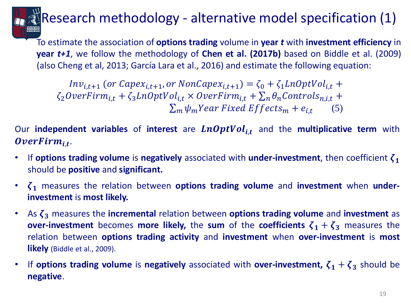# Research methodology - alternative model specification (1)

To estimate the association of **options trading** volume in **year** *t* with **investment efficiency** in **year** *t+1*, we follow the methodology of **Chen et al. (2017b)** based on Biddle et al. (2009) (also Cheng et al, 2013; García Lara et al., 2016) and estimate the following equation:

 $Inv_{i,t+1}$  (or Capex<sub>i,t+1</sub>, or NonCapex<sub>i,t+1</sub>) =  $\zeta_0 + \zeta_1$ LnOptVol<sub>i,t</sub> +  $\zeta_2 OverFirm_{i,t} + \zeta_3 LnOptVol_{i,t} \times OverFirm_{i,t} + \sum_n \theta_n Controls_{n,i,t} +$  $\sum_m \psi_m$ Year Fixed Effects<sub>m</sub> +  $e_{i,t}$ (5)

Our **independent variables** of **interest** are  $LnOptVol_{i,t}$  and the **multiplicative term** with OverFirm<sub>i,t</sub>.

- If **options trading volume** is **negatively** associated with **under-investment**, then coefficient should be **positive** and **significant.**
- $\zeta_1$  measures the relation between **options trading volume** and **investment** when **underinvestment** is **most likely.**
- $\cdot$  As  $\zeta_3$  measures the **incremental** relation between **options trading volume** and **investment** as **over-investment** becomes **more likely,** the sum of the **coefficients**  $\zeta_1 + \zeta_3$  measures the relation between **options trading activity** and **investment** when **over-investment** is **most likely** (Biddle et al., 2009).
- If **options trading volume** is **negatively** associated with **over-investment**,  $\zeta_1 + \zeta_3$  should be **negative**.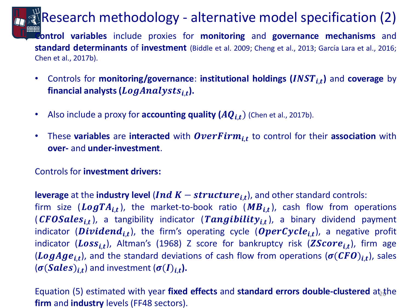### Research methodology - alternative model specification (2)

**Control variables** include proxies for **monitoring** and **governance mechanisms** and **standard determinants** of **investment** (Biddle et al. 2009; Cheng et al., 2013; García Lara et al., 2016; Chen et al., 2017b).

- Controls for **monitoring/governance: institutional holdings (INST<sub>i,t</sub>)** and **coverage** by  $\boldsymbol{f}$ inancial analysts ( $\boldsymbol{LogAnalysts}_{i,t}$ ).
- Also include a proxy for **accounting quality**  $(AQ_{i,t})$  (Chen et al., 2017b).
- These variables are interacted with  $\textit{OverFirm}_{i,t}$  to control for their association with **over-** and **under-investment**.

### Controls for **investment drivers:**

**leverage** at the *industry level (Ind K – structure*<sub>i,t</sub>), and other standard controls: firm size ( $LogTA_{i,t}$ ), the market-to-book ratio ( $MB_{i,t}$ ), cash flow from operations (CFOSales<sub>i,t</sub>), a tangibility indicator (Tangibility<sub>i,t</sub>), a binary dividend payment indicator ( $Dividend_{i,t}$ ), the firm's operating cycle ( $OperCycle_{i,t}$ ), a negative profit indicator ( $Loss_{i,t}$ ), Altman's (1968) Z score for bankruptcy risk ( $ZScore_{i,t}$ ), firm age (LogAge<sub>i,t</sub>), and the standard deviations of cash flow from operations ( $\sigma(CFO)_{i,t}$ ), sales  $(\sigma(Sales)_{i,t})$  and investment  $(\sigma(I)_{i,t})$ .

Equation (5) estimated with year fixed effects and standard errors double-clustered at<sub>2</sub>the **firm** and **industry** levels (FF48 sectors).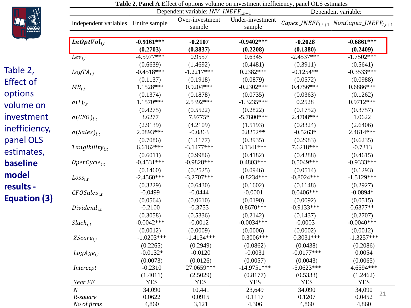

Table 2, Effect of

options

volume on

investment

inefficiency,

panel OLS

estimates, **baseline** 

**model** 

**results -**

**Equation (3)**

|                                     |                          | Dependent variable: $INV\_INEFF_{i,t+1}$ | <b>Table 2, I aller A</b> Effect of options volume on investment inefficiency, panel OLS estimates |                       | Dependent variable:                                                               |
|-------------------------------------|--------------------------|------------------------------------------|----------------------------------------------------------------------------------------------------|-----------------------|-----------------------------------------------------------------------------------|
| Independent variables Entire sample |                          | Over-investment<br>sample                | Under-investment<br>sample                                                                         |                       | $Capex$ <sub>INEFF<sub>i,t+1</sub> NonCapex<sub>INEFF<sub>i,t+1</sub></sub></sub> |
| $LnOptVol_{i,t}$                    | $-0.9161***$<br>(0.2703) | $-0.2107$<br>(0.3837)                    | $-0.9402***$<br>(0.2208)                                                                           | $-0.2028$<br>(0.1380) | $-0.6861***$<br>(0.2409)                                                          |
| $Lev_{i,t}$                         | $-4.5977***$             | 0.9557                                   | 0.6345                                                                                             | $-2.4537***$          | $-1.7502***$                                                                      |
|                                     | (0.6639)                 | (1.4692)                                 | (0.4481)                                                                                           | (0.3911)              | (0.5641)                                                                          |
| $LogTA_{i,t}$                       | $-0.4518***$             | $-1.2217***$                             | $0.2382***$                                                                                        | $-0.1254**$           | $-0.3533***$                                                                      |
|                                     | (0.1137)                 | (0.1918)                                 | (0.0879)                                                                                           | (0.0572)              | (0.0988)                                                                          |
| $MB_{i,t}$                          | 1.1528***                | $0.9204***$                              | $-0.2302***$                                                                                       | 0.4756***             | $0.6886***$                                                                       |
|                                     | (0.1374)                 | (0.1878)                                 | (0.0735)                                                                                           | (0.0363)              | (0.1262)                                                                          |
| $\sigma(I)_{i,t}$                   | $1.1570***$              | 2.5392***                                | $-1.3235***$                                                                                       | 0.2528                | $0.9712***$                                                                       |
|                                     | (0.4275)                 | (0.5522)                                 | (0.2822)                                                                                           | (0.1752)              | (0.3757)                                                                          |
| $\sigma(CFO)_{i,t}$                 | 3.6277                   | 7.9775*                                  | $-5.7600***$                                                                                       | 2.4708***             | 1.0622                                                                            |
|                                     | (2.9139)                 | (4.2109)                                 | (1.5193)                                                                                           | (0.8324)              | (2.6406)                                                                          |
| $\sigma(Sales)_{i.t}$               | 2.0893***                | $-0.0863$                                | $0.8252**$                                                                                         | $-0.5263*$            | 2.4614***                                                                         |
|                                     | (0.7086)                 | (1.1177)                                 | (0.3935)                                                                                           | (0.2983)              | (0.6235)                                                                          |
| $Tangibility_{i,t}$                 | $6.6162***$              | $-3.1477***$                             | 3.1341***                                                                                          | 7.6218***             | $-0.7313$                                                                         |
|                                     | (0.6011)                 | (0.9986)                                 | (0.4182)                                                                                           | (0.4288)              | (0.4615)                                                                          |
| $OperCycle_{i.t}$                   | $-0.4531***$             | $-0.9828***$                             | 0.4803***                                                                                          | 0.5049***             | $-0.9333***$                                                                      |
|                                     | (0.1460)                 | (0.2525)                                 | (0.0946)                                                                                           | (0.0514)              | (0.1293)                                                                          |
| $Loss_{i,t}$                        | $-2.4560***$             | $-3.2707***$                             | $-0.8234***$                                                                                       | $-0.8024***$          | $-1.5129***$                                                                      |
|                                     | (0.3229)                 | (0.6430)                                 | (0.1602)                                                                                           | (0.1148)              | (0.2927)                                                                          |
| $CFOSales_{i.t}$                    | $-0.0499$                | $-0.0444$                                | $-0.0001$                                                                                          | $0.0406***$           | $-0.0894*$                                                                        |
|                                     | (0.0564)                 | (0.0610)                                 | (0.0190)                                                                                           | (0.0092)              | (0.0515)                                                                          |
| $Dividend_{i,t}$                    | $-0.2100$                | $-0.3753$                                | $0.8670***$                                                                                        | $-0.9133***$          | $0.6377**$                                                                        |
|                                     | (0.3058)                 | (0.5336)                                 | (0.2142)                                                                                           | (0.1437)              | (0.2707)                                                                          |
| $Slack_{i.t}$                       | $-0.0042***$             | $-0.0012$                                | $-0.0034***$                                                                                       | $-0.0003$             | $-0.0040***$                                                                      |
|                                     | (0.0012)                 | (0.0009)                                 | (0.0006)                                                                                           | (0.0002)              | (0.0012)                                                                          |
| $ZScore_{i,t}$                      | $-1.0203***$             | $-1.4134***$                             | $0.3006***$                                                                                        | $0.3031***$           | $-1.3257***$                                                                      |
|                                     | (0.2265)                 | (0.2949)                                 | (0.0862)                                                                                           | (0.0438)              | (0.2086)                                                                          |
| $LogAge_{i,t}$                      | $-0.0132*$               | $-0.0120$                                | $-0.0031$                                                                                          | $-0.0177***$          | 0.0054                                                                            |
|                                     | (0.0073)                 | (0.0126)                                 | (0.0057)                                                                                           | (0.0043)              | (0.0065)                                                                          |
| Intercept                           | $-0.2310$                | 27.0659***                               | $-14.9751***$                                                                                      | $-5.0623***$          | 4.6594 ***                                                                        |
|                                     | (1.4011)                 | (2.5029)                                 | (0.8177)                                                                                           | (0.5333)              | (1.2462)                                                                          |
| Year FE                             | <b>YES</b>               | <b>YES</b>                               | <b>YES</b>                                                                                         | <b>YES</b>            | <b>YES</b>                                                                        |
| $\overline{N}$                      | 34,090                   | 10,441                                   | 23,649                                                                                             | 34,090                | 34,090                                                                            |
| R-square                            | 0.0622                   | 0.0915                                   | 0.1117                                                                                             | 0.1207                | 21<br>0.0452                                                                      |
| No of firms                         | 4,860                    | 3,121                                    | 4,306                                                                                              | 4,860                 | 4,860                                                                             |

| <b>Table 2, Panel A</b> Effect of options volume on investment inefficiency, panel OLS estimates |
|--------------------------------------------------------------------------------------------------|
|--------------------------------------------------------------------------------------------------|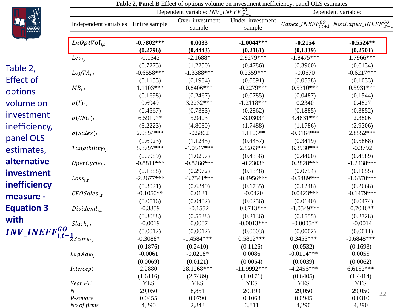

|                                    |                                     |                       | <b>Table 2, Faller D</b> Effect of options volume on investment memoritory, panel OLS estimates |                            |                          |                                                            |
|------------------------------------|-------------------------------------|-----------------------|-------------------------------------------------------------------------------------------------|----------------------------|--------------------------|------------------------------------------------------------|
|                                    |                                     |                       | Dependent variable: $INV\_INEFF_{i,t+1}^{GO}$                                                   |                            |                          | Dependent variable:                                        |
|                                    | Independent variables Entire sample |                       | Over-investment<br>sample                                                                       | Under-investment<br>sample |                          | Capex_INEFF $_{i,t+1}^{GO}$ NonCapex_INEFF $_{i,t+1}^{GO}$ |
|                                    | $LnOptVol_{i,t}$                    | $-0.7802***$          | 0.0033                                                                                          | $-1.0044***$               | $-0.2154$                | $-0.5524**$                                                |
|                                    |                                     | (0.2796)              | (0.4443)                                                                                        | (0.2161)                   | (0.1339)                 | (0.2501)                                                   |
|                                    | $Lev_{i,t}$                         | $-0.1542$             | $-2.1688*$                                                                                      | 2.9279***                  | $-1.8475***$             | $1.7966***$                                                |
| Table 2,                           |                                     | (0.7275)              | (1.2250)                                                                                        | (0.4786)                   | (0.3960)                 | (0.6134)                                                   |
|                                    | $LogTA_{i,t}$                       | $-0.6558***$          | $-1.3388***$                                                                                    | 0.2359***                  | $-0.0670$                | $-0.6217***$                                               |
| <b>Effect of</b>                   |                                     | (0.1155)              | (0.1984)                                                                                        | (0.0891)                   | (0.0538)                 | (0.1033)                                                   |
| options                            | $MB_{i,t}$                          | 1.1103***             | 0.8406***                                                                                       | $-0.2279***$               | $0.5310***$              | $0.5931***$                                                |
|                                    |                                     | (0.1698)<br>0.6949    | (0.2467)<br>3.2232***                                                                           | (0.0785)<br>$-1.2118***$   | (0.0487)<br>0.2340       | (0.1544)<br>0.4827                                         |
| volume on                          | $\sigma(I)_{i,t}$                   | (0.4567)              | (0.7383)                                                                                        | (0.2862)                   | (0.1885)                 | (0.3852)                                                   |
| investment                         | $\sigma(CFO)_{i,t}$                 | 6.5919**              | 5.9403                                                                                          | $-3.0303*$                 | 4.4631 ***               | 2.3806                                                     |
| inefficiency,                      |                                     | (3.2223)              | (4.8030)                                                                                        | (1.7488)                   | (1.1786)                 | (2.9306)                                                   |
|                                    | $\sigma(Sales)_{i.t}$               | 2.0894***             | $-0.5862$                                                                                       | 1.1106**                   | $-0.9164***$             | 2.8552***                                                  |
| panel OLS                          |                                     | (0.6923)              | (1.1245)                                                                                        | (0.4457)                   | (0.3419)                 | (0.5868)                                                   |
| estimates,                         | $Tangibility_{i,t}$                 | 5.8797***             | $-4.0547***$                                                                                    | 2.5263***                  | 6.3930***                | $-0.3792$                                                  |
|                                    |                                     | (0.5989)              | (1.0297)                                                                                        | (0.4336)                   | (0.4400)                 | (0.4589)                                                   |
| alternative                        | $OperCycle_{i,t}$                   | $-0.8811***$          | $-0.8266$ ***                                                                                   | $-0.2303*$                 | $0.3828***$              | $-1.2438***$                                               |
| investment                         |                                     | (0.1888)              | (0.2972)                                                                                        | (0.1348)                   | (0.0754)                 | (0.1655)                                                   |
|                                    | $Loss_{i,t}$                        | $-2.2677***$          | $-3.7541***$                                                                                    | $-0.4956***$               | $-0.5489***$             | $-1.6370***$                                               |
| inefficiency                       |                                     | (0.3021)              | (0.6349)                                                                                        | (0.1735)                   | (0.1248)                 | (0.2668)                                                   |
| measure -                          | $CFOSales_{i,t}$                    | $-0.1050**$           | 0.0131                                                                                          | $-0.0420$                  | $0.0423***$              | $-0.1479***$                                               |
| <b>Equation 3</b>                  | $Dividend_{i.t}$                    | (0.0516)<br>$-0.3359$ | (0.0402)<br>$-0.1552$                                                                           | (0.0256)<br>$0.6713***$    | (0.0140)<br>$-1.0549***$ | (0.0474)<br>$0.7046**$                                     |
|                                    |                                     | (0.3088)              | (0.5538)                                                                                        | (0.2136)                   | (0.1555)                 | (0.2728)                                                   |
| with                               | $Slack_{i,t}$                       | $-0.0019$             | 0.0007                                                                                          | $-0.0013***$               | $-0.0005**$              | $-0.0014$                                                  |
| $INV\_INEFF_{i,t+1}_{Score_{i,t}}$ |                                     | (0.0012)              | (0.0012)                                                                                        | (0.0003)                   | (0.0002)                 | (0.0011)                                                   |
|                                    |                                     | $-0.3088*$            | $-1.4584***$                                                                                    | $0.5812***$                | $0.3455***$              | $-0.6848***$                                               |
|                                    |                                     | (0.1876)              | (0.2410)                                                                                        | (0.1126)                   | (0.0532)                 | (0.1693)                                                   |
|                                    | $LogAge_{i,t}$                      | $-0.0061$             | $-0.0218*$                                                                                      | 0.0086                     | $-0.0114***$             | 0.0055                                                     |
|                                    |                                     | (0.0069)              | (0.0121)                                                                                        | (0.0054)                   | (0.0039)                 | (0.0062)                                                   |
|                                    | Intercept                           | 2.2880                | 28.1268***                                                                                      | $-11.9992***$              | $-4.2456***$             | $6.6152***$                                                |
|                                    |                                     | (1.6116)              | (2.7489)                                                                                        | (1.0171)                   | (0.6405)                 | (1.4414)                                                   |
|                                    | Year FE<br>$\overline{N}$           | <b>YES</b>            | <b>YES</b>                                                                                      | <b>YES</b>                 | <b>YES</b>               | <b>YES</b>                                                 |
|                                    | R-square                            | 29,050<br>0.0455      | 8,851<br>0.0790                                                                                 | 20,199<br>0.1063           | 29,050<br>0.0945         | 29,050<br>22<br>0.0310                                     |
|                                    | No of firms                         | 4,290                 | 2,843                                                                                           | 3,811                      | 4,290                    | 4,290                                                      |

**Table 2, Panel B** Effect of options volume on investment inefficiency, panel OLS estimates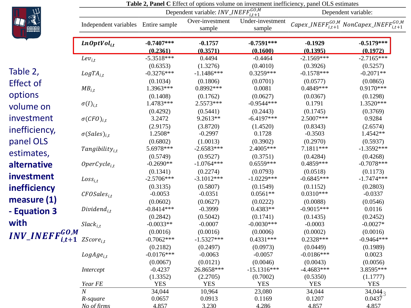

|                                                   |                                     |                                      |                                                        |                                    | <b>Table 2, Panel C</b> Effect of options volume on investment inefficiency, panel OLS estimates |                                                                    |  |
|---------------------------------------------------|-------------------------------------|--------------------------------------|--------------------------------------------------------|------------------------------------|--------------------------------------------------------------------------------------------------|--------------------------------------------------------------------|--|
|                                                   |                                     |                                      | Dependent variable: <i>INV_INEFF</i> $_{i,t+1}^{GO,M}$ |                                    | Dependent variable:                                                                              |                                                                    |  |
|                                                   | Independent variables Entire sample |                                      | Over-investment<br>sample                              | Under-investment<br>sample         |                                                                                                  | Capex_INEFF ${}_{i,t+1}^{GO,M}$ NonCapex_INEFF ${}_{i,t+1}^{GO,M}$ |  |
|                                                   | $LnOptVol_{i,t}$                    | $-0.7407***$<br>(0.2361)             | $-0.1757$<br>(0.3571)                                  | $-0.7591***$<br>(0.1600)           | $-0.1929$<br>(0.1395)                                                                            | $-0.5179***$<br>(0.1972)                                           |  |
|                                                   | $Lev_{i,t}$                         | $-5.3518***$                         | 0.4494                                                 | $-0.4464$                          | $-2.1569***$                                                                                     | $-2.7165***$                                                       |  |
| Table 2,                                          | $LogTA_{i,t}$                       | (0.6353)<br>$-0.3276***$<br>(0.1034) | (1.3276)<br>$-1.1486***$<br>(0.1806)                   | (0.4010)<br>0.3259***<br>(0.0701)  | (0.3926)<br>$-0.1578***$                                                                         | (0.5257)<br>$-0.2071**$<br>(0.0865)                                |  |
| <b>Effect of</b>                                  | $MB_{i,t}$                          | 1.3963***                            | 0.8992 ***                                             | 0.0081                             | (0.0577)<br>0.4849 ***                                                                           | $0.9170***$                                                        |  |
| options<br>volume on                              | $\sigma(I)_{i,t}$                   | (0.1408)<br>1.4783***                | (0.1762)<br>2.5573***                                  | (0.0627)<br>$-0.9544***$           | (0.0367)<br>0.1791                                                                               | (0.1298)<br>1.3520***                                              |  |
| investment                                        | $\sigma(CFO)_{i,t}$                 | (0.4292)<br>3.2472                   | (0.5441)<br>$9.2613**$                                 | (0.2443)<br>$-6.4197***$           | (0.1745)<br>2.5007***                                                                            | (0.3769)<br>0.9284                                                 |  |
| inefficiency,<br>panel OLS                        | $\sigma(Sales)_{i,t}$               | (2.9175)<br>1.2508*<br>(0.6802)      | (3.8720)<br>$-0.2997$<br>(1.0013)                      | (1.4520)<br>0.1728<br>(0.3902)     | (0.8343)<br>$-0.3503$<br>(0.2970)                                                                | (2.6574)<br>1.4542**<br>(0.5937)                                   |  |
| estimates,                                        | $Tangibility_{it}$                  | 5.6978***<br>(0.5749)                | $-2.6583***$<br>(0.9527)                               | 2.4005***<br>(0.3751)              | 7.1811***<br>(0.4284)                                                                            | $-1.3592***$<br>(0.4268)                                           |  |
| alternative                                       | $OperCycle_{i,t}$                   | $-0.2690**$                          | $-1.0764***$                                           | 0.6559***                          | $0.4859***$                                                                                      | $-0.7078***$                                                       |  |
| investment                                        | $Loss_{i,t}$                        | (0.1341)<br>$-2.5706***$             | (0.2274)<br>$-3.1012***$                               | (0.0793)<br>$-1.0229***$           | (0.0518)<br>$-0.6845***$                                                                         | (0.1173)<br>$-1.7474***$                                           |  |
| inefficiency<br>measure $(1)$                     | $CFOSales_{i.t}$                    | (0.3135)<br>$-0.0053$<br>(0.0602)    | (0.5807)<br>$-0.0351$<br>(0.0627)                      | (0.1549)<br>$0.0561**$<br>(0.0222) | (0.1152)<br>$0.0310***$<br>(0.0088)                                                              | (0.2803)<br>$-0.0337$<br>(0.0546)                                  |  |
| - Equation 3                                      | $Dividend_{i.t}$                    | $-0.8414***$<br>(0.2842)             | $-0.3999$<br>(0.5042)                                  | $0.4383**$<br>(0.1741)             | $-0.9015***$<br>(0.1435)                                                                         | 0.0116<br>(0.2452)                                                 |  |
| with                                              | $Slack_{i,t}$                       | $-0.0033**$<br>(0.0016)              | $-0.0007$<br>(0.0016)                                  | $-0.0030***$<br>(0.0006)           | $-0.0003$<br>(0.0002)                                                                            | $-0.0027*$<br>(0.0016)                                             |  |
| $INV\_INEFF_{i,t+1}^{GO,M}$ ZScore <sub>i,t</sub> |                                     | $-0.7062***$<br>(0.2182)             | $-1.5327***$<br>(0.2497)                               | $0.4331***$<br>(0.0973)            | 0.2328***<br>(0.0449)                                                                            | $-0.9464***$<br>(0.1989)                                           |  |
|                                                   | $LogAge_{i,t}$                      | $-0.0176***$<br>(0.0067)             | $-0.0063$<br>(0.0121)                                  | $-0.0057$<br>(0.0046)              | $-0.0186***$<br>(0.0043)                                                                         | 0.0023<br>(0.0056)                                                 |  |
|                                                   | Intercept                           | $-0.4237$<br>(1.3352)                | 26.8658***<br>(2.2705)                                 | $-15.1316***$<br>(0.7002)          | $-4.4683***$<br>(0.5350)                                                                         | 3.8595***<br>(1.1777)                                              |  |
|                                                   | Year FE                             | <b>YES</b>                           | <b>YES</b>                                             | <b>YES</b>                         | <b>YES</b>                                                                                       | <b>YES</b>                                                         |  |
|                                                   | $\boldsymbol{N}$                    | 34,044                               | 10,964                                                 | 23,080                             | 34,044                                                                                           | $34,044_3$                                                         |  |
|                                                   | R-square<br>No of firms             | 0.0657<br>4.857                      | 0.0913<br>3.230                                        | 0.1169<br>4.286                    | 0.1207<br>4.857                                                                                  | $0.043\overline{7}$<br>4.857                                       |  |
|                                                   |                                     |                                      |                                                        |                                    |                                                                                                  |                                                                    |  |

| <b>Table 2, Panel C</b> Effect of options volume on investment inefficiency, panel OLS estimates |
|--------------------------------------------------------------------------------------------------|
|--------------------------------------------------------------------------------------------------|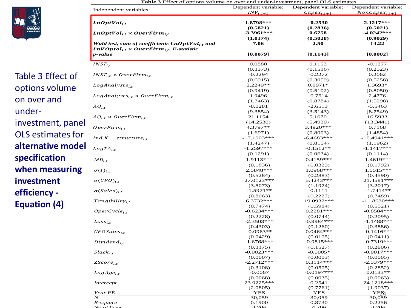

Table 3 Effect of options volume on over and under investment, panel OLS estimates for **alternative model specification when measuring investment efficiency - Equation (4)** 

Independent variables Dependent variables  $INV_{i,t+1}$ Dependent variable:<br> $Capex_{i,t+1}$ Dependent variable:<br> $NonCapex_{i,t+1}$ , **1.8798\*\*\* -0.2530 2.1217\*\*\* (0.5821)** (0.5821) (0.2836) (0.5021)<br>  $\text{Ln} \cdot \text{Dn} \cdot \text{Ln} \cdot \text{Dn} \cdot \text{Ln} \cdot \text{Dn} \cdot \text{Ln} \cdot \text{Dn} \cdot \text{Ln} \cdot \text{Dn} \cdot \text{Ln} \cdot \text{Dn} \cdot \text{Ln} \cdot \text{Dn} \cdot \text{Ln} \cdot \text{Dn} \cdot \text{Ln} \cdot \text{Dn} \cdot \text{Ln} \cdot \text{Dn} \cdot \text{Ln} \cdot \text{Dn} \cdot \text{Ln}$ **(1.0374) (0.5028) (0.9029)** *Wald test, sum of coefficients*  $\text{Ln} OptVol_{i,t}$  *and*  $\text{Ln} VOptol_{i,t} \times OverFirm_{i,t}$ *, F-statistic*<br>*n-value*  $LnVOptol<sub>i</sub>$   $\times$  *OverFirm<sub>it</sub>*, *F-statistic* **7.06 2.50 14.22** *p-value* **[0.0079] [0.1143] [0.0002]**  $INST_{i,t}$  0.0880 0.1153 -0.1277  $INST_{i,t} \times OverFirm_{i,t}$ (0.3373)
(0.1516)
(0.2523)
(0.2523)
(0.2523)
(0.2523
(0.2523
(0.3373)
(0.2272
(0.2062
(0.3373)
(0.3373)
(0.1516
(0.1516
(0.2523
(0.2062
(0.3373)
(0.3373)
(0.1516
(0.1516
(0.2523)
(0.2062
(0.3373)
(0.3373  $LogAnalysis_{i,t}$  (0.5258) (0.6915) (0.3059) (0.5258)<br> $LogAnalysis_{i,t}$  1.3693\* 0.9971\* 1.3693\*  $LogAnalysis_{i,t}$ <br>  $LogAnalysis_{i,t} \times OverFirm_{i,t}$ <br>  $LogAnalysis_{i,t} \times OverFirm_{i,t}$ <br>  $1.9496$ <br>  $1.9496$ <br>  $1.9496$ <br>  $-0.7514$ <br>  $2.4776$  $AQ_{i,t}$  (1.7463) (0.8784) (1.5298)<br> $AQ_{i,t}$  -8.0281 -2.6513 -5.5463 (9.3854) (3.5143) (8.7549)<br>  $AQ_{i,t} \times OverFirm_{i,t}$  (8.7549)  $(3.5143)$  (8.7549)  $\frac{1}{2}$ <br>  $0 \text{verFirm}_{i,t}$  (14.2530) (5.4930) (13.3441)<br>  $4.3797**$  3.4920\*\*\* 0.7168 (1.6971) (0.8003) (1.4854)<br>  $Ind\ K - structure_{i,t}$  -17.1003\*\*\* -6.4683\*\*\* -10.4941\*\*\*  $LogTA_{i,t}$  (1.1962)<br> $LogTA_{i,t}$  -1.2597\*\*\* -0.1512\*\* -0.1512\* -1.1417\*\*\*  $(0.1291)$   $(0.0634)$   $(0.1114)$  $MB_{i,t}$  1.9113\*\*\* 0.4159\*\*\* 1.4619\*\*\* 1.4619\*\*\* (0.1836) (0.0323) (0.1792)  $\sigma(I)_{i,t}$  1.5515\*\*\* 1.5515\*\*\* 1.5515\*\*\* 1.5515\*\*\* 1.5515\*\*\* 1.5515\*\*\* 1.5515\*\*\* 1.5515\*\*  $(0.5284)$   $(0.2883)$   $(0.4590)$  $\sigma(CFO)_{i,t}$  27.0123\*\*\* 5.4243\*\*\* 21.4581\*\*\*  $(3.5073)$   $(1.1974)$   $(3.2017)$  $\sigma(Sales)_{i,t}$  -1.5971\*\* 0.1111 -1.7414\*\*  $(0.8063)$   $(0.2227)$   $(0.7489)$  $\text{Tangibility}_{i,t}$  11.8630\*\*\*  $\text{G.3732***}$  19.0932\*\*\*  $\text{G.41.8630*}$  $(0.7474)$   $(0.5984)$   $(0.5521)$  $\emph{OperCycle}_{i.t}$  -0.6234\*\*\*  $\emph{0.6234***}$  -0.2281\*\*\*  $\emph{0.2281***}$  $(0.2228)$   $(0.0744)$   $(0.2095)$  $Loss_{i,t}$  -2.3503\*\*\* -0.9984\*\*\* -1.1488\*\*\*  $(0.4303)$   $(0.1260)$   $(0.3886)$  ${\it CFOSales}_{i,t} \hspace{2cm} -0.0963** \hspace{2cm} 0.0464*** \hspace{2cm} -0.1416*** \nonumber$  $(0.0429)$   $(0.0105)$   $(0.0411)$ Dividend $_{i,t}$  -1.6768\*\*\* -0.9815\*\*\* -0.7319\*\*\* -0.7319\*\*\*  $(0.3175)$   $(0.1527)$   $(0.2806)$  $Slack_{i,t}$  -0.00023\*\*\* -0.0005\* -0.0007\*\*\*  $(0.0007)$   $(0.0003)$   $(0.0005)$  $ZScore_{i,t}$  -2.2712\*\*\*  $0.3114***$  -2.5379\*\*\*  $(0.3108)$   $(0.0505)$   $(0.2852)$  $LogAge_{i,t}$  0.0133\*\* 0.0133\*\*  $-0.0067$   $-0.0197***$  0.0133\*\*  $(0.0068)$   $(0.0035)$   $(0.0063)$ *Intercept* 23.9225\*\*\* 0.2541 24.1218\*\*\*

*Year FE* YES YES YES YES YES *N* 30,059 30,059 30,059 30,059 30,059 *R-square* 0.1900 0.3730 0.2256 *No of firms* 4,206 4,206 4,206

 $\frac{YES1}{30,059}$ 

 $(2.0805)$   $(0.7761)$   $(1.9037)$ 

**Table 3** Effect of options volume on over and under-investment, panel OLS estimates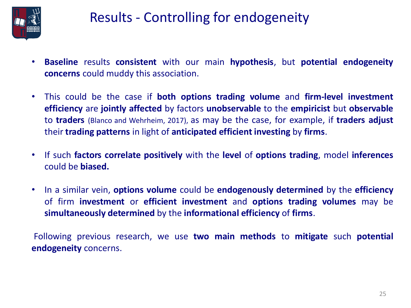

### Results - Controlling for endogeneity

- **Baseline** results **consistent** with our main **hypothesis**, but **potential endogeneity concerns** could muddy this association.
- This could be the case if **both options trading volume** and **firm-level investment efficiency** are **jointly affected** by factors **unobservable** to the **empiricist** but **observable** to **traders** (Blanco and Wehrheim, 2017), as may be the case, for example, if **traders adjust** their **trading patterns** in light of **anticipated efficient investing** by **firms**.
- If such **factors correlate positively** with the **level** of **options trading**, model **inferences** could be **biased.**
- In a similar vein, **options volume** could be **endogenously determined** by the **efficiency** of firm **investment** or **efficient investment** and **options trading volumes** may be **simultaneously determined** by the **informational efficiency** of **firms**.

Following previous research, we use **two main methods** to **mitigate** such **potential endogeneity** concerns.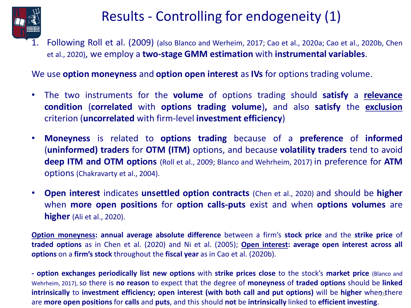

### Results - Controlling for endogeneity (1)

1. Following Roll et al. (2009) (also Blanco and Werheim, 2017; Cao et al., 2020a; Cao et al., 2020b, Chen et al., 2020), we employ a **two-stage GMM estimation** with **instrumental variables**.

We use **option moneyness** and **option open interest** as **IVs** for options trading volume.

- The two instruments for the **volume** of options trading should **satisfy** a **relevance condition** (**correlated** with **options trading volume**)**,** and also **satisfy** the **exclusion** criterion (**uncorrelated** with firm-level **investment efficiency**)
- **Moneyness** is related to **options trading** because of a **preference** of **informed** (**uninformed) traders** for **OTM (ITM)** options, and because **volatility traders** tend to avoid **deep ITM and OTM options** (Roll et al., 2009; Blanco and Wehrheim, 2017) in preference for **ATM** options (Chakravarty et al., 2004).
- **Open interest** indicates **unsettled option contracts** (Chen et al., 2020) and should be **higher** when **more open positions** for **option calls-puts** exist and when **options volumes** are **higher** (Ali et al., 2020).

**Option moneyness: annual average absolute difference** between a firm's **stock price** and the **strike price** of **traded options** as in Chen et al. (2020) and Ni et al. (2005); **Open interest: average open interest across all options** on a **firm's stock** throughout the **fiscal year** as in Cao et al. (2020b).

26 **intrinsically** to **investment efficiency; open interest (with both call and put options)** will be **higher** when there **- option exchanges periodically list new options** with **strike prices close** to the stock's **market price** (Blanco and Wehrheim, 2017),so there is **no reason** to expect that the degree of **moneyness** of **traded options** should be **linked** are **more open positions** for **calls** and **puts**, and this should **not** be **intrinsically** linked to **efficient investing**.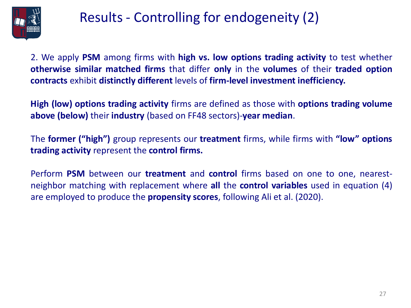

### Results - Controlling for endogeneity (2)

2. We apply **PSM** among firms with **high vs. low options trading activity** to test whether **otherwise similar matched firms** that differ **only** in the **volumes** of their **traded option contracts** exhibit **distinctly different** levels of **firm-level investment inefficiency.**

**High (low) options trading activity** firms are defined as those with **options trading volume above (below)** their **industry** (based on FF48 sectors)-**year median**.

The **former ("high")** group represents our **treatment** firms, while firms with **"low" options trading activity** represent the **control firms.**

Perform **PSM** between our **treatment** and **control** firms based on one to one, nearestneighbor matching with replacement where **all** the **control variables** used in equation (4) are employed to produce the **propensity scores**, following Ali et al. (2020).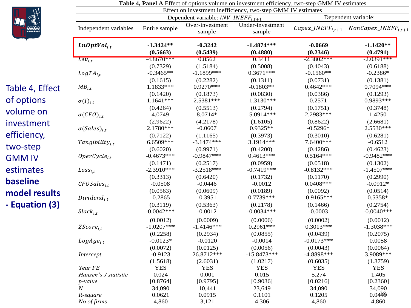

#### **Table 4, Panel A** Effect of options volume on investment efficiency, two-step GMM IV estimates Effect on investment inefficiency, two-step GMM IV estimates Dependent variable:  $INV\_INEFF_{i,t+1}$  Dependent variable: Independent variables Entire sample Over-investment sample Under-investment sample  $Capex\_INEFF_{i,t+1}$   $NonCapex\_INEFF_{i,t+1}$ , **-1.3424\*\* -0.3242 -1.4874\*\*\* -0.0669 -1.1420\*\* (0.5663) (0.5439) (0.4880) (0.2346) (0.4791)**  $Lev_{i,t}$  -4.8670\*\*\* 0.8562 0.3411 -2.3802\*\*\* -2.0391\*\*\*  $(0.7329)$   $(1.5184)$   $(0.5008)$   $(0.4043)$   $(0.6188)$ , -0.3465\*\* -1.1899\*\*\* 0.3671\*\*\* -0.1560\*\* -0.2386\*  $(0.1615)$   $(0.2282)$   $(0.1311)$   $(0.0731)$   $(0.1381)$  $MB_{i,t}$  1.1833\*\*\* 0.9270\*\*\* -0.1803\*\* 0.4642\*\*\* 0.7094\*\*\*  $(0.1420)$   $(0.1873)$   $(0.0830)$   $(0.0386)$   $(0.1293)$  $\sigma(I)_{i,t}$  1.1641\*\*\* 2.5381\*\*\* -1.3130\*\*\* 0.2571 0.9893\*\*\*  $(0.4264)$   $(0.5513)$   $(0.2794)$   $(0.1751)$   $(0.3748)$  $\sigma(CFO)_{i,t}$  4.0749 8.0714\* -5.0914\*\*\* 2.2983\*\*\* 1.4250  $(2.9622)$   $(4.2178)$   $(1.6105)$   $(0.8622)$   $(2.6681)$  $\sigma({\it Sales})_{i,t}$  2.1780\*\*\* -0.0607 0.9325\*\* -0.5296\* 2.5530\*\*\*  $(0.7122)$   $(1.1165)$   $(0.3973)$   $(0.3010)$   $(0.6281)$  $Tangibility_{i,t}$  6.6509\*\*\* -3.1474\*\*\* 3.1914\*\*\* 7.6400\*\*\* -0.6512  $(0.6020)$   $(0.9971)$   $(0.4200)$   $(0.4286)$   $(0.4623)$ 0perCycle<sub>i,t</sub> -0.4673\*\*\* -0.9847\*\*\* 0.4613\*\*\* 0.5164\*\*\* -0.9482\*\*\*  $(0.1471)$   $(0.2517)$   $(0.0959)$   $(0.0518)$   $(0.1302)$  $Loss_{i,t}$  -2.3910\*\*\* -3.2518\*\*\* -0.7419\*\*\* -0.8132\*\*\* -1.4507\*\*\*  $(0.3313)$   $(0.6420)$   $(0.1732)$   $(0.1170)$   $(0.2990)$  $\textit{CFOSales}_{i,t}$  -0.0508 -0.0446 -0.0012 -0.0408\*\*\* -0.0912\*  $(0.0563)$   $(0.0609)$   $(0.0189)$   $(0.0092)$   $(0.0514)$ Dividend $_{i,t}$  -0.2865 -0.3951 0.7739\*\*\* -0.9165\*\*\* 0.5358\*  $(0.3119)$   $(0.5363)$   $(0.2178)$   $(0.1466)$   $(0.2754)$  $Slack_{i,t}$  -0.0042\*\*\* -0.0012 -0.0034\*\*\* -0.0003 -0.00040\*\*\*  $(0.0012)$   $(0.0009)$   $(0.0006)$   $(0.0002)$   $(0.0012)$  $ZScore_{i,t}$  -1.0207\*\*\* -1.4146\*\*\* 0.2961\*\*\* 0.3013\*\*\* -1.3038\*\*\*  $(0.2258)$   $(0.2934)$   $(0.0855)$   $(0.0439)$   $(0.2075)$  $LogAge_{i,t}$  -0.0123\* -0.0120 -0.0014 -0.0173\*\*\* 0.0058  $(0.0072)$   $(0.0125)$   $(0.0056)$   $(0.0043)$   $(0.0064)$

*Intercept* -0.9123 26.8712\*\*\* -15.8473\*\*\* -4.8898\*\*\* 3.9089\*\*\*

*Year FE YES YES YES YES YES YES YES YES Hansen's J statistic* 0.024 0.001 0.015 5.274 1.405 *p-value* [0.8764] [0.9795] [0.9036] [0.0216] [0.2360] *N* 34,090 10,441 23,649 34,090 34,090 *R-square* 0.0621 0.0915 0.1101 0.1205 0.0449 *No of firms* 4,860 3,121 4,306 4,860 4,860 4,860

 $(1.5618)$   $(2.6031)$   $(1.0217)$   $(0.6035)$   $(1.3759)$ 

 $0.0449$ 

Table 4, Effect of options volume on investment efficiency, two -step GMM IV estimates **baseline model results - Equation (3)**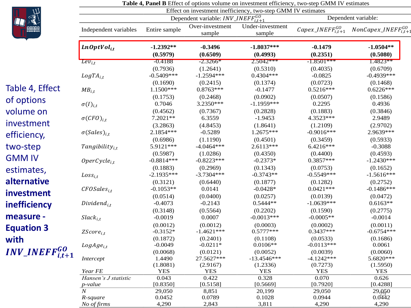

|                           |                                    |                                     |                                               |                                    | <b>Table 4, Panel B</b> Effect of options volume on investment efficiency, two-step GMM IV estimates<br>Effect on investment inefficiency, two-step GMM IV estimates |                                                        |  |  |  |  |  |
|---------------------------|------------------------------------|-------------------------------------|-----------------------------------------------|------------------------------------|----------------------------------------------------------------------------------------------------------------------------------------------------------------------|--------------------------------------------------------|--|--|--|--|--|
|                           |                                    |                                     | Dependent variable: $INV\_INEFF_{i,t+1}^{GO}$ |                                    |                                                                                                                                                                      | Dependent variable:                                    |  |  |  |  |  |
|                           | Independent variables              | Entire sample                       | Over-investment<br>sample                     | Under-investment<br>sample         | Capex_INEFF $_{i,t+1}^{GO}$                                                                                                                                          | $NonCapex$ <sub>_INEFF<math>_{i,t+1}^{GO}</math></sub> |  |  |  |  |  |
|                           | $LnOptVol_{i,t}$                   | $-1.2392**$<br>(0.5979)             | $-0.3496$<br>(0.6509)                         | $-1.8037***$<br>(0.4993)           | $-0.1479$<br>(0.2351)                                                                                                                                                | $-1.0504**$<br>(0.5080)                                |  |  |  |  |  |
|                           | $Lev_{i,t}$                        | $-0.4188$                           | $-2.3266*$                                    | $2.5042***$                        | $-1.8501***$                                                                                                                                                         | $1.4823**$                                             |  |  |  |  |  |
|                           | $LogTA_{i,t}$                      | (0.7936)<br>$-0.5409***$            | (1.2641)<br>$-1.2594***$                      | (0.5310)<br>$0.4304***$            | (0.4035)<br>$-0.0825$                                                                                                                                                | (0.6709)<br>$-0.4939***$                               |  |  |  |  |  |
| Table 4, Effect           | $MB_{i,t}$                         | (0.1690)<br>1.1500***               | (0.2415)<br>$0.8763***$                       | (0.1374)<br>$-0.1477$              | (0.0723)<br>$0.5216***$                                                                                                                                              | (0.1468)<br>$0.6226***$                                |  |  |  |  |  |
| of options                | $\sigma(I)_{i,t}$                  | (0.1753)<br>0.7046                  | (0.2468)<br>3.2350***                         | (0.0902)<br>$-1.1959***$           | (0.0507)<br>0.2295                                                                                                                                                   | (0.1586)<br>0.4936                                     |  |  |  |  |  |
| volume on<br>investment   | $\sigma(CFO)_{i.t}$                | (0.4562)<br>$7.2021**$              | (0.7367)<br>6.3559                            | (0.2828)<br>$-1.9453$              | (0.1883)<br>4.3523***                                                                                                                                                | (0.3846)<br>2.9489                                     |  |  |  |  |  |
| efficiency,               | $\sigma(Sales)_{i.t}$              | (3.2863)<br>2.1854 ***<br>(0.6986)  | (4.8453)<br>$-0.5289$<br>(1.1190)             | (1.8641)<br>1.2675***<br>(0.4501)  | (1.2109)<br>$-0.9016***$<br>(0.3459)                                                                                                                                 | (2.9702)<br>2.9639***<br>(0.5933)                      |  |  |  |  |  |
| two-step                  | $Tangibility_{i,t}$                | 5.9121***<br>(0.5987)               | $-4.0464***$<br>(1.0286)                      | $2.6113***$<br>(0.4350)            | 6.4216***<br>(0.4400)                                                                                                                                                | $-0.3088$<br>(0.4593)                                  |  |  |  |  |  |
| <b>GMM IV</b>             | $OperCycle_{i.t}$                  | $-0.8814***$                        | $-0.8223***$                                  | $-0.2373*$                         | $0.3857***$                                                                                                                                                          | $-1.2430***$                                           |  |  |  |  |  |
| estimates,<br>alternative | $Loss_{i,t}$                       | (0.1883)<br>$-2.1935***$            | (0.2969)<br>$-3.7304***$                      | (0.1343)<br>$-0.3743**$            | (0.0753)<br>$-0.5549***$                                                                                                                                             | (0.1652)<br>$-1.5616***$                               |  |  |  |  |  |
| investment                | $CFOSales_{it}$                    | (0.3121)<br>$-0.1053**$<br>(0.0514) | (0.6440)<br>0.0141<br>(0.0400)                | (0.1877)<br>$-0.0428*$<br>(0.0257) | (0.1282)<br>$0.0421***$<br>(0.0139)                                                                                                                                  | (0.2752)<br>$-0.1486***$<br>(0.0472)                   |  |  |  |  |  |
| inefficiency              | $Dividend_{i.t}$                   | $-0.4073$<br>(0.3148)               | $-0.2143$<br>(0.5564)                         | $0.5444**$<br>(0.2202)             | $-1.0639***$<br>(0.1590)                                                                                                                                             | $0.6163**$<br>(0.2775)                                 |  |  |  |  |  |
| measure -                 | $Slack_{i,t}$                      | $-0.0019$                           | 0.0007                                        | $-0.0013***$                       | $-0.0005**$                                                                                                                                                          | $-0.0014$                                              |  |  |  |  |  |
| <b>Equation 3</b>         | $ZScore_{i,t}$                     | (0.0012)<br>$-0.3152*$              | (0.0012)<br>$-1.4621***$                      | (0.0003)<br>$0.5777***$            | (0.0002)<br>$0.3437***$                                                                                                                                              | (0.0011)<br>$-0.6754***$                               |  |  |  |  |  |
| with                      | $LogAge_{i.t}$                     | (0.1872)<br>$-0.0049$<br>(0.0068)   | (0.2401)<br>$-0.0211*$<br>(0.0121)            | (0.1108)<br>$0.0106**$<br>(0.0052) | (0.0533)<br>$-0.0113***$<br>(0.0039)                                                                                                                                 | (0.1686)<br>0.0061<br>(0.0060)                         |  |  |  |  |  |
| $INV\_INEFF_{i,t+1}^{GO}$ | Intercept                          | 1.4490<br>(1.8081)                  | 27.5627***<br>(2.9167)                        | $-13.4546***$<br>(1.2336)          | $-4.1242***$<br>(0.7273)                                                                                                                                             | 5.6820***<br>(1.5950)                                  |  |  |  |  |  |
|                           | Year FE                            | <b>YES</b>                          | <b>YES</b>                                    | <b>YES</b>                         | <b>YES</b>                                                                                                                                                           | <b>YES</b>                                             |  |  |  |  |  |
|                           | Hansen's J statistic<br>$p$ -value | 0.043<br>[0.8350]                   | 0.422<br>[0.5158]                             | 0.328<br>[0.5669]                  | 0.070<br>[0.7920]                                                                                                                                                    | 0.626<br>[0.4288]                                      |  |  |  |  |  |
|                           | $\boldsymbol{N}$<br>R-square       | 29,050<br>0.0452                    | 8,851<br>0.0789                               | 20,199<br>0.1028                   | 29,050<br>0.0944                                                                                                                                                     | 29,050<br>0.0442                                       |  |  |  |  |  |

*No of firms* 4,290 2,843 3,811 4,290 4,290

**Table 4, Panel B** Effect of options volume on investment efficiency, two-step GMM IV estimates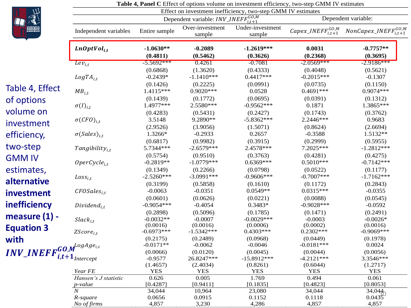

|                                                  | <b>Table <math>\pi</math>, I and C</b> Effect of options volume on investment efficiency, two step Givin I $\tau$ estimates<br>Effect on investment inefficiency, two-step GMM IV estimates |                                     |                                                 |                                       |                                      |                                   |  |
|--------------------------------------------------|---------------------------------------------------------------------------------------------------------------------------------------------------------------------------------------------|-------------------------------------|-------------------------------------------------|---------------------------------------|--------------------------------------|-----------------------------------|--|
|                                                  |                                                                                                                                                                                             |                                     | Dependent variable: $INV\_INEFF_{i,t+1}^{GO,M}$ |                                       |                                      | Dependent variable:               |  |
|                                                  | Independent variables                                                                                                                                                                       | Entire sample                       | Over-investment<br>sample                       | Under-investment<br>sample            | Capex_INEF $F_{i,t+1}^{GO,M}$        | $NonCapex\_INEFF_{i,t+1}^{GO,M}$  |  |
|                                                  | $LnOptVol_{i,t}$                                                                                                                                                                            | $-1.0630**$<br>(0.4811)             | $-0.2089$<br>(0.5462)                           | $-1.2619***$<br>(0.3626)              | 0.0031<br>(0.2368)                   | $-0.7757**$<br>(0.3695)           |  |
|                                                  | $Lev_{i,t}$                                                                                                                                                                                 | $-5.5692***$                        | 0.4261                                          | $-0.7081$                             | $-2.0569***$                         | $-2.9186***$                      |  |
|                                                  | $LogTA_{i,t}$                                                                                                                                                                               | (0.6868)<br>$-0.2439*$              | (1.3620)<br>$-1.1410***$                        | (0.4333)<br>$0.4417***$               | (0.4048)<br>$-0.2015***$             | (0.5621)<br>$-0.1307$             |  |
| Table 4, Effect                                  | $MB_{i,t}$                                                                                                                                                                                  | (0.1426)<br>1.4115***               | (0.2225)<br>$0.9020***$                         | (0.0991)<br>0.0528                    | (0.0735)<br>$0.4691***$              | (0.1150)<br>$0.9074***$           |  |
| of options                                       | $\sigma(I)_{i,t}$                                                                                                                                                                           | (0.1439)<br>1.4977***               | (0.1772)<br>2.5580***                           | (0.0695)<br>$-0.9562***$              | (0.0391)<br>0.1871                   | (0.1312)<br>1.3865***             |  |
| volume on<br>investment                          | $\sigma(CFO)_{i.t}$                                                                                                                                                                         | (0.4283)<br>3.5148                  | (0.5431)<br>9.2890**                            | (0.2427)<br>$-5.8362***$              | (0.1743)<br>2.2446 ***               | (0.3762)<br>0.9683                |  |
| efficiency,                                      | $\sigma(Sales)_{i,t}$                                                                                                                                                                       | (2.9526)<br>1.3266*                 | (3.9056)<br>$-0.2933$                           | (1.5071)<br>0.2657                    | (0.8624)<br>$-0.3588$                | (2.6694)<br>1.5132**              |  |
| two-step                                         | $Tangibility_{i,t}$                                                                                                                                                                         | (0.6817)<br>5.7344***               | (0.9982)<br>$-2.6579***$                        | (0.3915)<br>2.4578***                 | (0.2999)<br>7.2025***                | (0.5955)<br>$-1.2812***$          |  |
| <b>GMM IV</b>                                    | $OperCycle_{i.t}$                                                                                                                                                                           | (0.5754)<br>$-0.2819**$             | (0.9510)<br>$-1.0779***$                        | (0.3763)<br>$0.6369***$               | (0.4281)<br>$0.5010***$              | (0.4275)<br>$-0.7142***$          |  |
| estimates,                                       | $Loss_{i,t}$                                                                                                                                                                                | (0.1349)<br>$-2.5260***$            | (0.2266)<br>$-3.0991***$                        | (0.0798)<br>$-0.9606***$              | (0.0522)<br>$-0.7007***$             | (0.1177)<br>$-1.7162***$          |  |
| alternative<br>investment                        | $CFOSales_{i,t}$                                                                                                                                                                            | (0.3199)<br>$-0.0063$               | (0.5858)<br>$-0.0351$                           | (0.1610)<br>$0.0549**$                | (0.1172)<br>$0.0315***$              | (0.2843)<br>$-0.0355$             |  |
| inefficiency                                     | $Dividend_{i.t}$                                                                                                                                                                            | (0.0601)<br>$-0.9054***$            | (0.0626)<br>$-0.4054$                           | (0.0221)<br>0.3483*                   | (0.0088)<br>$-0.9028***$             | (0.0545)<br>$-0.0592$             |  |
| measure $(1)$ -                                  | $Slack_{i,t}$                                                                                                                                                                               | (0.2898)<br>$-0.0032**$             | (0.5096)<br>$-0.0007$                           | (0.1785)<br>$-0.0029***$              | (0.1471)<br>$-0.0003$                | (0.2491)<br>$-0.0026*$            |  |
| <b>Equation 3</b>                                | $ZScore_{i,t}$                                                                                                                                                                              | (0.0016)<br>$-0.6973***$            | (0.0016)<br>$-1.5342***$                        | (0.0006)<br>$0.4303***$               | (0.0002)<br>$0.2302***$              | (0.0016)<br>$-0.9069***$          |  |
| with<br>$INV\_INEFF_{i++}^{GO,M^{logAge_{i,t}}}$ |                                                                                                                                                                                             | (0.2175)<br>$-0.0171**$<br>(0.0066) | (0.2489)<br>$-0.0062$<br>(0.0120)               | (0.0968)<br>$-0.0046$                 | (0.0449)<br>$-0.0181***$             | (0.1978)<br>0.0024                |  |
|                                                  | $i,t+1$ Intercept                                                                                                                                                                           | $-0.9577$<br>(1.4657)               | 26.8247***<br>(2.4034)                          | (0.0045)<br>$-15.8912***$<br>(0.8261) | (0.0044)<br>$-4.2121***$<br>(0.6044) | (0.0056)<br>3.3546***<br>(1.2717) |  |
|                                                  | Year FE                                                                                                                                                                                     | <b>YES</b>                          | <b>YES</b>                                      | <b>YES</b>                            | <b>YES</b>                           | <b>YES</b>                        |  |
|                                                  | Hansen's J statistic<br>$p$ -value                                                                                                                                                          | 0.626<br>[0.4287]                   | 0.005<br>[0.9411]                               | 1.769<br>[0.1835]                     | 0.494<br>[0.4823]                    | 0.061<br>[0.8053]                 |  |
|                                                  | $\overline{N}$                                                                                                                                                                              | 34,044                              | 10,964                                          | 23,080                                | 34,044                               |                                   |  |
|                                                  | R-square                                                                                                                                                                                    | 0.0656                              | 0.0915                                          | 0.1152                                | 0.1118                               | $34,044$<br>0.0435                |  |

*No of firms* 4,857 3,230 4,286 4,857 4,857

|  | <b>Table 4, Panel C</b> Effect of options volume on investment efficiency, two-step GMM IV estimates |  |
|--|------------------------------------------------------------------------------------------------------|--|
|--|------------------------------------------------------------------------------------------------------|--|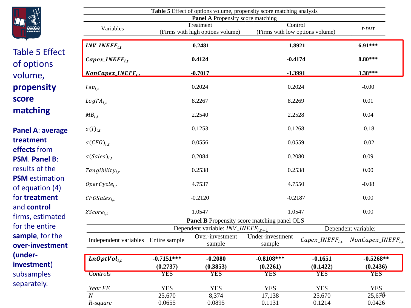

Table 5 Effect

of options

**propensity** 

**matching**

**treatment effects** from **PSM**. **Panel B**: results of the **PSM** estimation of equation (4) for **treatment** and **control**

firms, estimated for the entire **sample**, for the

**(under -**

**investment**) subsamples separately.

volume,

**score** 

#### $25,670$ **Panel B** Propensity score matching panel OLS Dependent variable:  $INV\_INEFF_{i,t+1}$  Dependent variable: Independent variables Entire sample Over-investment sample Under-investment  $\sum_{\text{sample}}^{T-1} Capex\_INEFF_{i,t}$  NonCapex\_INEFF<sub>i,t</sub> , **-0.7151\*\*\* -0.2080 -0.8108\*\*\* -0.1651 -0.5268\*\* (0.2737) (0.3853) (0.2261) (0.1422) (0.2436)** *Controls* YES YES YES YES YES *Year FE YES YES YES YES YES YES YES YES N* 25,670 8,374 17,138 25,670 25,670 *R-square* 0.0655 0.0895 0.1131 0.1214 0.0426 **Panel A**: **average over -investment Table 5** Effect of options volume, propensity score matching analysis **Panel A** Propensity score matching Variables Treatment (Firms with high options volume) Control (Firms with low options volume) *t-test*  $INV\_INEFF_{it}$ \_, **-0.2481 -1.8921 6.91\*\*\*** *Capex\_INEFF<sub>it</sub>* **8.80\*\*\* 0.4124 -0.4174 -0.4174 8.80\*\*\*** \_, **-0.7017 -1.3991 3.38\*\*\***  $Lev_{i,t}$  and  $0.2024$  and  $0.2024$  and  $0.2024$  and  $0.2024$  and  $0.000$  $LogTA_{i,t}$  6.2267 8.2269 0.01  $MB_{i,t}$  2.2540 2.2528 0.04  $\sigma(I)_{i,t}$  0.1253 0.1268 -0.18  $\sigma(CFO)_{i,t}$  0.0556 0.0559 -0.02  $\sigma(Sales)_{i,t}$  0.2084 0.2080 0.09  $\text{Tangibility}_{i,t}$  and  $\text{0.2538}$  and  $\text{0.00}$  $\textit{OperCycle}_{i,t}$  (1.7537 - 4.7537 - 4.7537 - 4.7550 -  $\textit{0.08}$  $CFOSales_{i,t}$  0.00  $-0.2120$   $-0.2187$   $-0.2187$  0.00  $ZScore_{i,t}$  and the contract of the contract of the contract of the contract of the contract of the contract of the contract of the contract of the contract of the contract of the contract of the contract of the contract of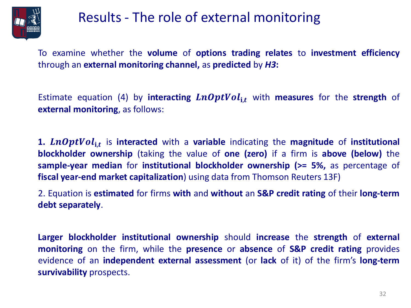

### Results - The role of external monitoring

To examine whether the **volume** of **options trading relates** to **investment efficiency** through an **external monitoring channel,** as **predicted** by *H3***:**

Estimate equation (4) by **interacting**  $LnOptVol_{i,t}$  with **measures** for the **strength** of **external monitoring**, as follows:

1. LnOptVol<sub>i,t</sub> is interacted with a variable indicating the magnitude of institutional **blockholder ownership** (taking the value of **one (zero)** if a firm is **above (below)** the **sample-year median** for **institutional blockholder ownership (>= 5%,** as percentage of **fiscal year-end market capitalization**) using data from Thomson Reuters 13F)

2. Equation is **estimated** for firms **with** and **without** an **S&P credit rating** of their **long-term debt separately**.

**Larger blockholder institutional ownership** should **increase** the **strength** of **external monitoring** on the firm, while the **presence** or **absence** of **S&P credit rating** provides evidence of an **independent external assessment** (or **lack** of it) of the firm's **long-term survivability** prospects.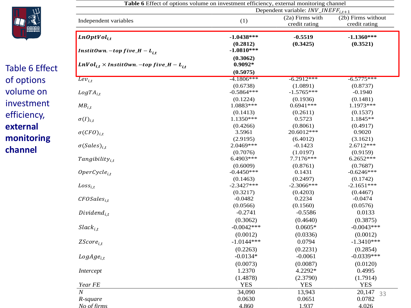

Table 6 Effect of options volume on investment efficiency, **external monitoring channel**

|                                                                                                 | Table 6 Effect of options volume on investment efficiency, external monitoring channel<br>Dependent variable: $INV\_INEFF_{i,t+1}$ |                                  |                                     |  |  |  |  |  |
|-------------------------------------------------------------------------------------------------|------------------------------------------------------------------------------------------------------------------------------------|----------------------------------|-------------------------------------|--|--|--|--|--|
| Independent variables                                                                           | (1)                                                                                                                                | (2a) Firms with<br>credit rating | (2b) Firms without<br>credit rating |  |  |  |  |  |
| LnOptVol <sub>it</sub>                                                                          | $-1.0438***$<br>(0.2812)<br>$-1.0810***$                                                                                           | $-0.5519$<br>(0.3425)            | $-1.1360***$<br>(0.3521)            |  |  |  |  |  |
| InstitOwn. –top five_H – L <sub>i.t</sub><br>$LnVol_{i,t} \times Institute_{i,t}$ and $L_{i,t}$ | (0.3062)<br>$0.9092*$                                                                                                              |                                  |                                     |  |  |  |  |  |
|                                                                                                 | (0.5075)                                                                                                                           |                                  |                                     |  |  |  |  |  |
| $\overline{Lev_{i,t}}$                                                                          | $-4.1806***$                                                                                                                       | $-6.2912***$                     | $-6.5775***$                        |  |  |  |  |  |
|                                                                                                 | (0.6738)                                                                                                                           | (1.0891)                         | (0.8737)                            |  |  |  |  |  |
| $LogTA_{i.t}$                                                                                   | $-0.5864***$                                                                                                                       | $-1.5765***$                     | $-0.1940$                           |  |  |  |  |  |
|                                                                                                 | (0.1224)                                                                                                                           | (0.1936)                         | (0.1481)                            |  |  |  |  |  |
| $MB_{i.t}$                                                                                      | 1.0883***                                                                                                                          | $0.6941***$                      | 1.1973 ***                          |  |  |  |  |  |
|                                                                                                 | (0.1413)                                                                                                                           | (0.2611)                         | (0.1537)                            |  |  |  |  |  |
| $\sigma(I)_{i,t}$                                                                               | 1.1350***                                                                                                                          | 0.5723                           | 1.1845**                            |  |  |  |  |  |
|                                                                                                 | (0.4266)                                                                                                                           | (0.8061)                         | (0.4917)                            |  |  |  |  |  |
| $\sigma(CFO)_{i.t}$                                                                             | 3.5961                                                                                                                             | 20.6012***                       | 0.9020                              |  |  |  |  |  |
| $\sigma(Sales)_{i.t.}$                                                                          | (2.9195)<br>2.0469***                                                                                                              | (6.4012)<br>$-0.1423$            | (3.1621)<br>2.6712***               |  |  |  |  |  |
|                                                                                                 | (0.7076)                                                                                                                           | (1.0197)                         | (0.9159)                            |  |  |  |  |  |
| Tangibility <sub>i.t</sub>                                                                      | 6.4903***                                                                                                                          | 7.7176 ***                       | 6.2652***                           |  |  |  |  |  |
|                                                                                                 | (0.6009)                                                                                                                           | (0.8761)                         | (0.7687)                            |  |  |  |  |  |
| $OperCycle_{i.t}$                                                                               | $-0.4450***$                                                                                                                       | 0.1431                           | $-0.6246***$                        |  |  |  |  |  |
|                                                                                                 | (0.1463)                                                                                                                           | (0.2497)                         | (0.1742)                            |  |  |  |  |  |
| $Loss_{i,t}$                                                                                    | $-2.3427***$                                                                                                                       | $-2.3066$ ***                    | $-2.1651***$                        |  |  |  |  |  |
|                                                                                                 | (0.3217)                                                                                                                           | (0.4203)                         | (0.4467)                            |  |  |  |  |  |
| $CFOSales_{i.t}$                                                                                | $-0.0482$                                                                                                                          | 0.2234                           | $-0.0474$                           |  |  |  |  |  |
|                                                                                                 | (0.0566)                                                                                                                           | (0.1560)                         | (0.0576)                            |  |  |  |  |  |
| $Dividend_{i,t}$                                                                                | $-0.2741$                                                                                                                          | $-0.5586$                        | 0.0133                              |  |  |  |  |  |
|                                                                                                 | (0.3062)                                                                                                                           | (0.4640)                         | (0.3875)                            |  |  |  |  |  |
| $Slack_{i,t}$                                                                                   | $-0.0042***$                                                                                                                       | $0.0605*$                        | $-0.0043***$                        |  |  |  |  |  |
|                                                                                                 | (0.0012)                                                                                                                           | (0.0336)                         | (0.0012)                            |  |  |  |  |  |
| ZScore <sub>i.t</sub>                                                                           | $-1.0144***$                                                                                                                       | 0.0794                           | $-1.3410***$                        |  |  |  |  |  |
|                                                                                                 | (0.2263)                                                                                                                           | (0.2231)                         | (0.2854)                            |  |  |  |  |  |
| $LogAge_{i,t}$                                                                                  | $-0.0134*$                                                                                                                         | $-0.0061$                        | $-0.0339***$                        |  |  |  |  |  |
|                                                                                                 | (0.0073)                                                                                                                           | (0.0087)                         | (0.0120)                            |  |  |  |  |  |
| Intercept                                                                                       | 1.2370                                                                                                                             | 4.2292*                          | 0.4995                              |  |  |  |  |  |
|                                                                                                 | (1.4878)                                                                                                                           | (2.3790)                         | (1.7914)                            |  |  |  |  |  |
| Year FE                                                                                         | <b>YES</b>                                                                                                                         | <b>YES</b>                       | <b>YES</b>                          |  |  |  |  |  |
| $\overline{\overline{N}}$                                                                       | 34,090                                                                                                                             |                                  |                                     |  |  |  |  |  |
|                                                                                                 |                                                                                                                                    | 13,943                           | 20,147<br>33<br>0.0782              |  |  |  |  |  |
| R-square<br>No of firms                                                                         | 0.0630<br>4.860                                                                                                                    | 0.0651<br>1.937                  | 4.026                               |  |  |  |  |  |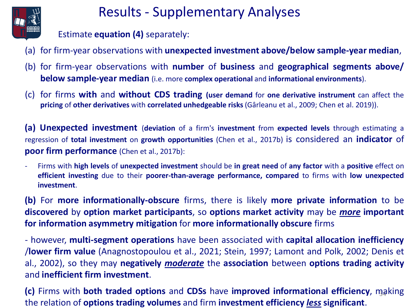

### Results - Supplementary Analyses

Estimate **equation (4)** separately:

- (a) for firm-year observations with **unexpected investment above/below sample-year median**,
- (b) for firm-year observations with **number** of **business** and **geographical segments above/ below sample-year median** (i.e. more **complex operational** and **informational environments**).
- (c) for firms **with** and **without CDS trading (user demand** for **one derivative instrument** can affect the **pricing** of **other derivatives** with **correlated unhedgeable risks** (Gârleanu et al., 2009; Chen et al. 2019)).

**(a) Unexpected investment** (**deviation** of a firm's **investment** from **expected levels** through estimating a regression of **total investment** on **growth opportunities** (Chen et al., 2017b) is considered an **indicator** of **poor firm performance** (Chen et al., 2017b):

- Firms with **high levels** of **unexpected investment** should be **in great need** of **any factor** with a **positive** effect on **efficient investing** due to their **poorer-than-average performance, compared** to firms with **low unexpected investment**.

**(b)** For **more informationally-obscure** firms, there is likely **more private information** to be **discovered** by **option market participants**, so **options market activity** may be *more* **important for information asymmetry mitigation** for **more informationally obscure** firms

- however, **multi-segment operations** have been associated with **capital allocation inefficiency** /**lower firm value** (Anagnostopoulou et al., 2021; Stein, 1997; Lamont and Polk, 2002; Denis et al., 2002), so they may **negatively** *moderate* the **association** between **options trading activity** and **inefficient firm investment**.

34 **(c)** Firms with **both traded options** and **CDSs** have **improved informational efficiency**, making the relation of **options trading volumes** and firm **investment efficiency** *less* **significant**.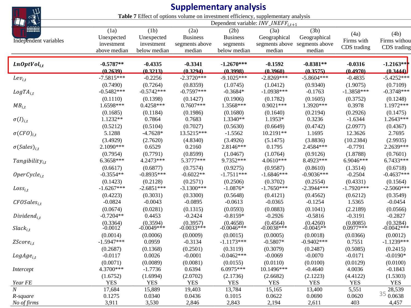|                       |                                                  |                                                  | <b>Supplementary analysis</b>                                                     |                                                     |                                                  |                                                  |                                   |                                     |  |
|-----------------------|--------------------------------------------------|--------------------------------------------------|-----------------------------------------------------------------------------------|-----------------------------------------------------|--------------------------------------------------|--------------------------------------------------|-----------------------------------|-------------------------------------|--|
| 小说。                   |                                                  |                                                  | Table 7 Effect of options volume on investment efficiency, supplementary analysis |                                                     |                                                  |                                                  |                                   |                                     |  |
| ▓                     |                                                  | Dependent variable: $INV\_INEFF_{i,t+1}$         |                                                                                   |                                                     |                                                  |                                                  |                                   |                                     |  |
| Independent variables | (1a)<br>Unexpected<br>investment<br>above median | (1b)<br>Unexpected<br>investment<br>below median | (2a)<br><b>Business</b><br>segments above<br>median                               | (2b)<br><b>Business</b><br>segments<br>below median | (3a)<br>Geographical<br>segments above<br>median | (3b)<br>Geographical<br>segments above<br>median | (4a)<br>Firms with<br>CDS trading | (4b)<br>Firms withou<br>CDS trading |  |
| $LnOptVol_{i,t}$      | $-0.5787**$                                      | $-0.4335$                                        | $-0.3341$                                                                         | $-1.2670***$                                        | $-0.1592$                                        | $-0.8381**$                                      | $-0.0316$                         | $-1.2163***$                        |  |
|                       | (0.2639)                                         | (0.3213)                                         | (0.3294)                                                                          | (0.3998)                                            | (0.3960)                                         | (0.3575)                                         | (0.4970)                          | (0.3444)                            |  |
| $Lev_{i,t}$           | $-7.5815***$                                     | $-0.2256$                                        | $-2.3720***$                                                                      | $-9.1025***$                                        | $-2.8269***$                                     | $-5.8604***$                                     | $-0.4835$                         | $-5.4252***$                        |  |
| $LogTA_{i.t}$         | (0.7490)                                         | (0.7264)                                         | (0.8359)                                                                          | (1.0745)                                            | (1.0412)                                         | (0.9340)                                         | (1.9075)                          | (0.7109)                            |  |
|                       | $-0.5482***$                                     | $-0.5742***$                                     | $-0.7597***$                                                                      | $-0.3684*$                                          | $-1.0938***$                                     | $-0.1763$                                        | $-1.3858***$                      | $-0.3748***$                        |  |
| $MB_{i,t}$            | (0.1110)                                         | (0.1398)                                         | (0.1427)                                                                          | (0.1906)                                            | (0.1782)                                         | (0.1605)                                         | (0.3752)                          | (0.1248)                            |  |
|                       | 1.6598***                                        | $0.4258***$                                      | $0.7607***$                                                                       | 1.3568***                                           | $0.9021***$                                      | 1.3920***                                        | 0.3978                            | 1.1972***                           |  |
| $\sigma(I)_{i,t}$     | (0.1685)                                         | (0.1184)                                         | (0.1986)                                                                          | (0.1680)                                            | (0.1640)                                         | (0.2194)                                         | (0.2926)                          | (0.1475)                            |  |
|                       | $1.1232**$                                       | 0.7864                                           | 0.7683                                                                            | 1.3340**                                            | 1.1953*                                          | 0.3236                                           | $-1.6344$                         | 1.2643***                           |  |
|                       | (0.5212)                                         | (0.5104)                                         | (0.7027)                                                                          | (0.5630)                                            | (0.6649)                                         | (0.4742)                                         | (2.0977)                          | (0.4367)                            |  |
| $\sigma(CFO)_{i.t}$   | 5.1288                                           | $-4.7628*$                                       | 13.5215***                                                                        | $-1.5562$                                           | 10.2191**                                        | 1.1695                                           | 12.3626                           | 2.7695                              |  |
|                       | (3.4929)                                         | (2.7620)                                         | (4.8340)                                                                          | (3.4926)                                            | (5.1475)                                         | (3.8836)                                         | (10.2384)                         | (2.9935)                            |  |
| $\sigma(Sales)_{i.t}$ | 2.1090***                                        | 0.6529                                           | 0.2160                                                                            | 2.8146***                                           | 0.1795                                           | 2.4584***                                        | $-0.7791$                         | 2.2639***                           |  |
|                       | (0.7954)                                         | (0.7791)                                         | (0.8599)                                                                          | (1.0467)                                            | (1.0764)                                         | (0.9126)                                         | (1.8788)                          | (0.7601)                            |  |
| $Tangibility_{i,t}$   | 6.3658***                                        | 4.2473***                                        | 5.3777***                                                                         | 9.7352***                                           | 4.0610***                                        | 8.4923***                                        | 6.9046***                         | 6.7433***                           |  |
|                       | (0.6617)                                         | (0.6877)                                         | (0.7574)                                                                          | (0.9275)                                            | (0.9587)                                         | (0.8610)                                         | (1.3514)                          | (0.6718)                            |  |
| $OperCycle_{i,t}$     | $-0.3554**$                                      | $-0.8935***$                                     | $-0.6022**$                                                                       | $-1.7511***$                                        | $-1.6846***$                                     | $-0.9036***$                                     | $-0.2504$                         | $-0.4637***$                        |  |
|                       | (0.1423)                                         | (0.2128)                                         | (0.2571)                                                                          | (0.2506)                                            | (0.3702)                                         | (0.2554)                                         | (0.4331)                          | (0.1564)                            |  |
| $Loss_{i,t}$          | $-1.6267***$                                     | $-2.6851***$                                     | $-3.1300***$                                                                      | $-1.0876*$                                          | $-1.7650***$                                     | $-2.3944***$                                     | $-1.7920***$                      | $-2.5060***$                        |  |
|                       | (0.4223)                                         | (0.3031)                                         | (0.3300)                                                                          | (0.5648)                                            | (0.4121)                                         | (0.4562)                                         | (0.6212)                          | (0.3549)                            |  |
| $CFOSales_{i,t}$      | $-0.0824$                                        | $-0.0043$                                        | $-0.0895$                                                                         | $-0.0613$                                           | $-0.0365$                                        | $-0.1254$                                        | 1.5365                            | $-0.0454$                           |  |
|                       | (0.0674)                                         | (0.0281)                                         | (0.1315)                                                                          | (0.0593)                                            | (0.0883)                                         | (0.1041)                                         | (2.2189)                          | (0.0566)                            |  |
| $Dividend_{i.t}$      | $-0.7204**$                                      | 0.4453                                           | $-0.2424$                                                                         | $-0.8159*$                                          | $-0.2926$                                        | $-0.5816$                                        | $-0.3191$                         | $-0.2827$                           |  |
| $Slack_{i,t}$         | (0.3364)<br>$-0.0012$                            | (0.3594)<br>$-0.0049***$                         | (0.3957)<br>$-0.0033***$                                                          | $(0.4658)$<br>-0.0046***                            | (0.4564)<br>$-0.0038***$                         | (0.4260)<br>$-0.0045**$                          | $(0.8085)$<br>$0.0977***$         | $(0.3284)$<br>-0.0042***            |  |
| $ZScore_{i,t}$        | (0.0014)                                         | (0.0006)                                         | (0.0009)                                                                          | (0.0015)                                            | (0.0005)                                         | (0.0018)                                         | (0.0366)                          | (0.0012)                            |  |
|                       | $-1.5947***$                                     | 0.0959                                           | $-0.3134$                                                                         | $-1.1173***$                                        | $-0.5807*$                                       | $-0.9402$ ***                                    | 0.7551                            | $-1.1239***$                        |  |
| $LogAge_{i,t}$        | (0.2687)                                         | (0.1368)                                         | (0.2501)                                                                          | (0.3119)                                            | (0.3079)                                         | (0.2487)                                         | (0.5085)                          | (0.2415)                            |  |
|                       | $-0.0117$                                        | 0.0026                                           | $-0.0001$                                                                         | $-0.0462***$                                        | $-0.0069$                                        | $-0.0070$                                        | $-0.0171$                         | $-0.0190*$                          |  |
| Intercept             | (0.0071)<br>4.3700***                            | (0.0089)<br>$-1.7736$                            | (0.0081)<br>0.6394<br>(2.0702)                                                    | (0.0155)<br>6.0975***                               | (0.0110)<br>10.1496***                           | (0.0100)<br>$-0.4640$                            | (0.0129)<br>4.0036                | (0.0100)<br>$-0.1843$               |  |
| Year FE               | (1.6752)<br><b>YES</b>                           | (1.6994)<br><b>YES</b>                           | <b>YES</b>                                                                        | (2.1736)<br><b>YES</b>                              | (2.6682)<br><b>YES</b>                           | (2.1223)<br><b>YES</b>                           | (4.4122)<br><b>YES</b>            | (1.5303)<br><b>YES</b>              |  |
| $\boldsymbol{N}$      | 17,684                                           | 15,889                                           | 19,403                                                                            | 13,784                                              | 15,165                                           | 13,400                                           | 5,551                             | 28,539                              |  |
| R-square              | 0.1275                                           | 0.0340                                           | 0.0436                                                                            | 0.1015                                              | 0.0622                                           | 0.0690                                           | 0.0620                            | 3500638                             |  |
| No of firms           | 3,911                                            | 3,530                                            | 2,846                                                                             | 2,843                                               | 2,194                                            | 2,611                                            | 403                               | 4,457                               |  |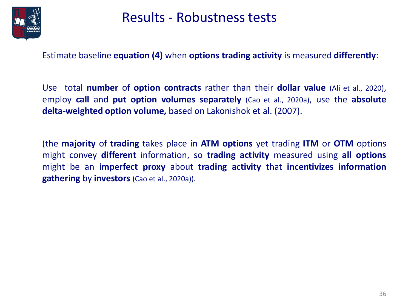

### Results - Robustness tests

Estimate baseline **equation (4)** when **options trading activity** is measured **differently**:

Use total **number** of **option contracts** rather than their **dollar value** (Ali et al., 2020), employ **call** and **put option volumes separately** (Cao et al., 2020a), use the **absolute delta-weighted option volume,** based on Lakonishok et al. (2007).

(the **majority** of **trading** takes place in **ATM options** yet trading **ITM** or **OTM** options might convey **different** information, so **trading activity** measured using **all options** might be an **imperfect proxy** about **trading activity** that **incentivizes information gathering** by **investors** (Cao et al., 2020a)).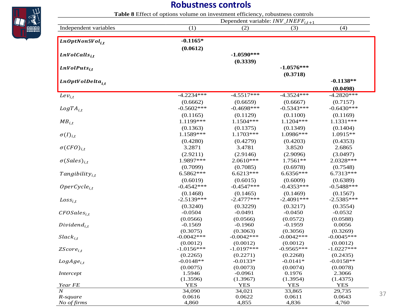### **Robustness controls**

|                             | Dependent variable: $INV\_INEFF_{i,t+1}$ |                         |                  |                  |  |  |  |  |
|-----------------------------|------------------------------------------|-------------------------|------------------|------------------|--|--|--|--|
| Independent variables       | (1)                                      | (2)                     | (3)              | (4)              |  |  |  |  |
| $LnOptNon\$Vol_{i.t}$       | $-0.1165*$                               |                         |                  |                  |  |  |  |  |
|                             | (0.0612)                                 |                         |                  |                  |  |  |  |  |
| $LnVolCalls_{i.t}$          |                                          | $-1.0590***$            |                  |                  |  |  |  |  |
|                             |                                          | (0.3339)                |                  |                  |  |  |  |  |
| $LnVolPuts_{i.t}$           |                                          |                         | $-1.0576***$     |                  |  |  |  |  |
|                             |                                          |                         | (0.3718)         |                  |  |  |  |  |
| LnOptVolDelta <sub>it</sub> |                                          |                         |                  | $-0.1138**$      |  |  |  |  |
|                             |                                          |                         |                  | (0.0498)         |  |  |  |  |
| $Lev_{i,t}$                 | $-4.2234***$                             | $-4.5\overline{517***}$ | $-4.3524***$     | $-4.2820***$     |  |  |  |  |
|                             | (0.6662)                                 | (0.6659)                | (0.6667)         | (0.7157)         |  |  |  |  |
| $LogTA_{i.t}$               | $-0.5602***$                             | $-0.4698***$            | $-0.5343***$     | $-0.6430***$     |  |  |  |  |
|                             | (0.1165)                                 | (0.1129)                | (0.1100)         | (0.1169)         |  |  |  |  |
| $MB_{i,t}$                  | 1.1199***                                | $1.1504***$             | $1.1204***$      | $1.1331***$      |  |  |  |  |
|                             | (0.1363)                                 | (0.1375)                | (0.1349)         | (0.1404)         |  |  |  |  |
| $\sigma(I)_{i,t}$           | 1.1589***                                | $1.1703***$             | 1.0986***        | $1.0915**$       |  |  |  |  |
|                             | (0.4280)                                 | (0.4279)                | (0.4203)         | (0.4353)         |  |  |  |  |
| $\sigma(CFO)_{i.t}$         | 3.2871                                   | 3.4781                  | 3.8520           | 2.6865           |  |  |  |  |
|                             | (2.9211)                                 | (2.9146)                | (2.9096)         | (3.0497)         |  |  |  |  |
| $\sigma(Sales)_{i,t}$       | 1.9897***                                | 2.0610***               | 1.7561**         | 2.0328***        |  |  |  |  |
|                             | (0.7099)                                 | (0.7085)                | (0.6978)         | (0.7548)         |  |  |  |  |
| $Tangibility_{i,t}$         | 6.5862***                                | $6.6213***$             | 6.6356***        | 6.7313***        |  |  |  |  |
|                             | (0.6019)                                 | (0.6015)                | (0.6009)         | (0.6389)         |  |  |  |  |
| $OperCycle_{i.t}$           | $-0.4542***$                             | $-0.4547***$            | $-0.4353***$     | $-0.5488***$     |  |  |  |  |
|                             | (0.1468)                                 | (0.1465)                | (0.1469)         | (0.1567)         |  |  |  |  |
| $Loss_{i.t}$                | $-2.5139***$                             | $-2.4777***$            | $-2.4091***$     | $-2.5385***$     |  |  |  |  |
|                             | (0.3240)                                 | (0.3229)                | (0.3217)         | (0.3554)         |  |  |  |  |
| $CFOSales_{i.t}$            | $-0.0504$                                | $-0.0491$               | $-0.0450$        | $-0.0532$        |  |  |  |  |
|                             | (0.0566)                                 | (0.0566)                | (0.0572)         | (0.0588)         |  |  |  |  |
| $Dividend_{i.t}$            | $-0.1569$                                | $-0.1960$               | $-0.1959$        | 0.0056           |  |  |  |  |
|                             | (0.3075)                                 | (0.3063)                | (0.3056)         | (0.3269)         |  |  |  |  |
| $Slack_{i,t}$               | $-0.0042***$                             | $-0.0042***$            | $-0.0042***$     | $-0.0045***$     |  |  |  |  |
|                             | (0.0012)                                 | (0.0012)                | (0.0012)         | (0.0012)         |  |  |  |  |
| $ZScore_{i,t}$              | $-1.0156***$                             | $-1.0197***$            | $-0.9565***$     | $-1.0227***$     |  |  |  |  |
|                             | (0.2265)                                 | (0.2271)                | (0.2268)         | (0.2435)         |  |  |  |  |
| $LogAge_{i.t}$              | $-0.0148**$                              | $-0.0133*$              | $-0.0141*$       | $-0.0158**$      |  |  |  |  |
|                             | (0.0075)                                 | (0.0073)                | (0.0074)         | (0.0078)         |  |  |  |  |
| Intercept                   | 1.5946                                   | $-0.0961$               | 0.1976           | 2.3066           |  |  |  |  |
|                             | (1.3596)                                 | (1.3967)                | (1.3954)         | (1.4375)         |  |  |  |  |
| Year FE<br>$\overline{N}$   | YES                                      | YES                     | YES              | YES              |  |  |  |  |
|                             | 34,090<br>0.0616                         | 34,021                  | 33,865<br>0.0611 | 29,735<br>0.0643 |  |  |  |  |
| R-square<br>No of firms     | 4,860                                    | 0.0622<br>4,855         | 4,836            | 4,760            |  |  |  |  |
|                             |                                          |                         |                  |                  |  |  |  |  |

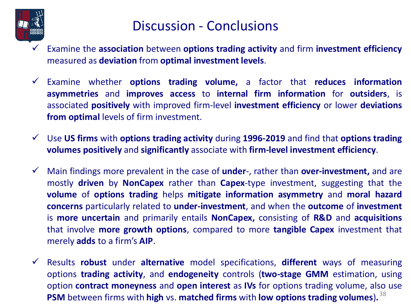

### Discussion - Conclusions

- ✓ Examine the **association** between **options trading activity** and firm **investment efficiency** measured as **deviation** from **optimal investment levels**.
- ✓ Examine whether **options trading volume,** a factor that **reduces information asymmetries** and **improves access** to **internal firm information** for **outsiders**, is associated **positively** with improved firm-level **investment efficiency** or lower **deviations from optimal** levels of firm investment.
- ✓ Use **US firms** with **options trading activity** during **1996-2019** and find that **options trading volumes positively** and **significantly** associate with **firm-level investment efficiency**.
- ✓ Main findings more prevalent in the case of **under**-, rather than **over-investment,** and are mostly **driven** by **NonCapex** rather than **Capex**-type investment, suggesting that the **volume** of **options trading** helps **mitigate information asymmetry** and **moral hazard concerns** particularly related to **under-investment**, and when the **outcome** of **investment** is **more uncertain** and primarily entails **NonCapex,** consisting of **R&D** and **acquisitions** that involve **more growth options**, compared to more **tangible Capex** investment that merely **adds** to a firm's **AIP**.
- ✓ Results **robust** under **alternative** model specifications, **different** ways of measuring options **trading activity**, and **endogeneity** controls (**two-stage GMM** estimation, using option **contract moneyness** and **open interest** as **IVs** for options trading volume, also use **PSM** between firms with **high** vs. **matched firms** with **low options trading volumes**)**.** 38